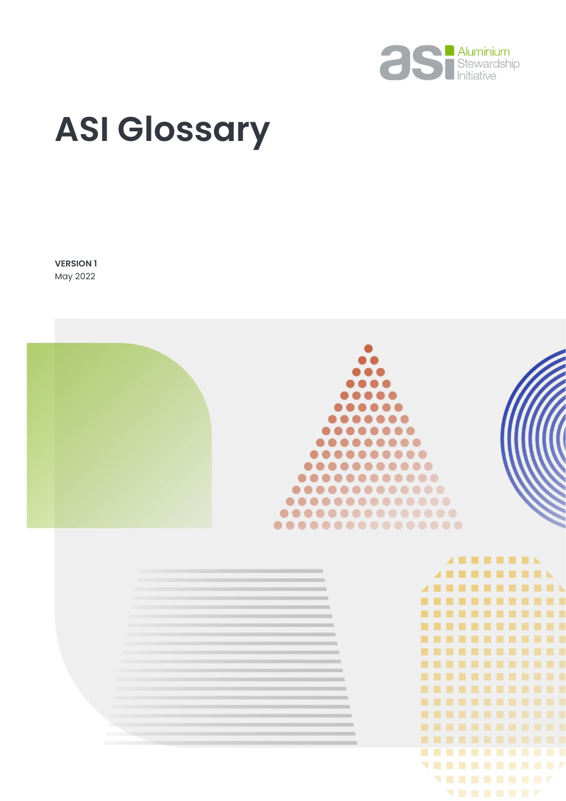

# **ASI Glossary**

**VERSION 1** May 2022

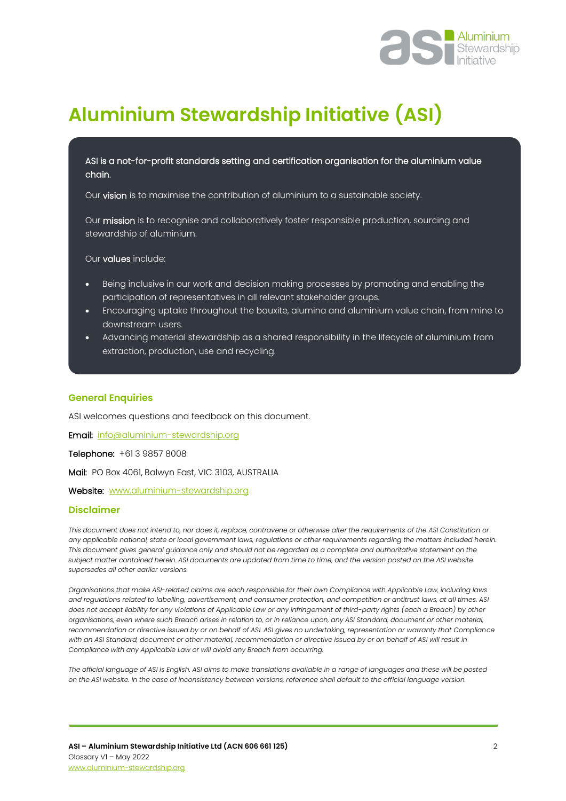

### **Aluminium Stewardship Initiative (ASI)**

ASI is a not-for-profit standards setting and certification organisation for the aluminium value chain.

Our vision is to maximise the contribution of aluminium to a sustainable society.

Our mission is to recognise and collaboratively foster responsible production, sourcing and stewardship of aluminium.

Our values include:

- Being inclusive in our work and decision making processes by promoting and enabling the participation of representatives in all relevant stakeholder groups.
- Encouraging uptake throughout the bauxite, alumina and aluminium value chain, from mine to downstream users.
- Advancing material stewardship as a shared responsibility in the lifecycle of aluminium from extraction, production, use and recycling.

#### **General Enquiries**

l

ASI welcomes questions and feedback on this document.

Email: [info@aluminium-stewardship.org](mailto:info@aluminium-stewardship.org) 

Telephone: +61 3 9857 8008

Mail: PO Box 4061, Balwyn East, VIC 3103, AUSTRALIA

Website: [www.aluminium-stewardship.org](http://www.aluminium-stewardship.org/)

#### **Disclaimer**

*This document does not intend to, nor does it, replace, contravene or otherwise alter the requirements of the ASI Constitution or any applicable national, state or local government laws, regulations or other requirements regarding the matters included herein. This document gives general guidance only and should not be regarded as a complete and authoritative statement on the subject matter contained herein. ASI documents are updated from time to time, and the version posted on the ASI website supersedes all other earlier versions.*

*Organisations that make ASI-related claims are each responsible for their own Compliance with Applicable Law, including laws and regulations related to labelling, advertisement, and consumer protection, and competition or antitrust laws, at all times. ASI does not accept liability for any violations of Applicable Law or any infringement of third-party rights (each a Breach) by other organisations, even where such Breach arises in relation to, or in reliance upon, any ASI Standard, document or other material, recommendation or directive issued by or on behalf of ASI. ASI gives no undertaking, representation or warranty that Compliance with an ASI Standard, document or other material, recommendation or directive issued by or on behalf of ASI will result in Compliance with any Applicable Law or will avoid any Breach from occurring.*

*The official language of ASI is English. ASI aims to make translations available in a range of languages and these will be posted on the ASI website. In the case of inconsistency between versions, reference shall default to the official language version.*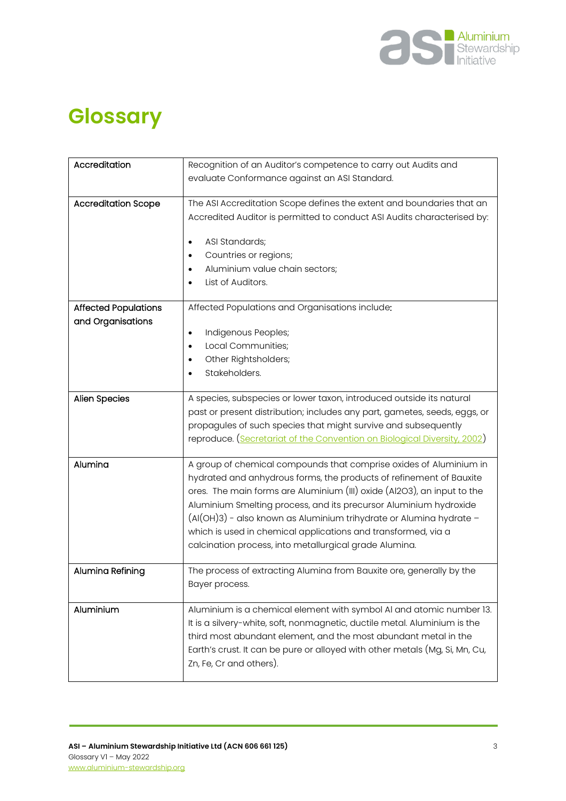

## **Glossary**

| Accreditation               | Recognition of an Auditor's competence to carry out Audits and                                                                                    |
|-----------------------------|---------------------------------------------------------------------------------------------------------------------------------------------------|
|                             | evaluate Conformance against an ASI Standard.                                                                                                     |
|                             |                                                                                                                                                   |
| <b>Accreditation Scope</b>  | The ASI Accreditation Scope defines the extent and boundaries that an                                                                             |
|                             | Accredited Auditor is permitted to conduct ASI Audits characterised by:                                                                           |
|                             |                                                                                                                                                   |
|                             | ASI Standards;                                                                                                                                    |
|                             | Countries or regions;<br>Aluminium value chain sectors;                                                                                           |
|                             | ٠<br>List of Auditors.                                                                                                                            |
|                             |                                                                                                                                                   |
| <b>Affected Populations</b> | Affected Populations and Organisations include:                                                                                                   |
| and Organisations           |                                                                                                                                                   |
|                             | Indigenous Peoples;<br>٠                                                                                                                          |
|                             | Local Communities;                                                                                                                                |
|                             | Other Rightsholders;<br>٠                                                                                                                         |
|                             | Stakeholders.                                                                                                                                     |
|                             |                                                                                                                                                   |
| <b>Alien Species</b>        | A species, subspecies or lower taxon, introduced outside its natural<br>past or present distribution; includes any part, gametes, seeds, eggs, or |
|                             | propagules of such species that might survive and subsequently                                                                                    |
|                             | reproduce. (Secretariat of the Convention on Biological Diversity, 2002)                                                                          |
|                             |                                                                                                                                                   |
| Alumina                     | A group of chemical compounds that comprise oxides of Aluminium in                                                                                |
|                             | hydrated and anhydrous forms, the products of refinement of Bauxite                                                                               |
|                             | ores. The main forms are Aluminium (III) oxide (Al2O3), an input to the                                                                           |
|                             | Aluminium Smelting process, and its precursor Aluminium hydroxide                                                                                 |
|                             | $(A(OH)3)$ - also known as Aluminium trihydrate or Alumina hydrate -                                                                              |
|                             | which is used in chemical applications and transformed, via a                                                                                     |
|                             | calcination process, into metallurgical grade Alumina.                                                                                            |
| Alumina Refining            | The process of extracting Alumina from Bauxite ore, generally by the                                                                              |
|                             | Bayer process.                                                                                                                                    |
|                             |                                                                                                                                                   |
| Aluminium                   | Aluminium is a chemical element with symbol Al and atomic number 13.                                                                              |
|                             | It is a silvery-white, soft, nonmagnetic, ductile metal. Aluminium is the                                                                         |
|                             | third most abundant element, and the most abundant metal in the                                                                                   |
|                             | Earth's crust. It can be pure or alloyed with other metals (Mg, Si, Mn, Cu,                                                                       |
|                             | Zn, Fe, Cr and others).                                                                                                                           |
|                             |                                                                                                                                                   |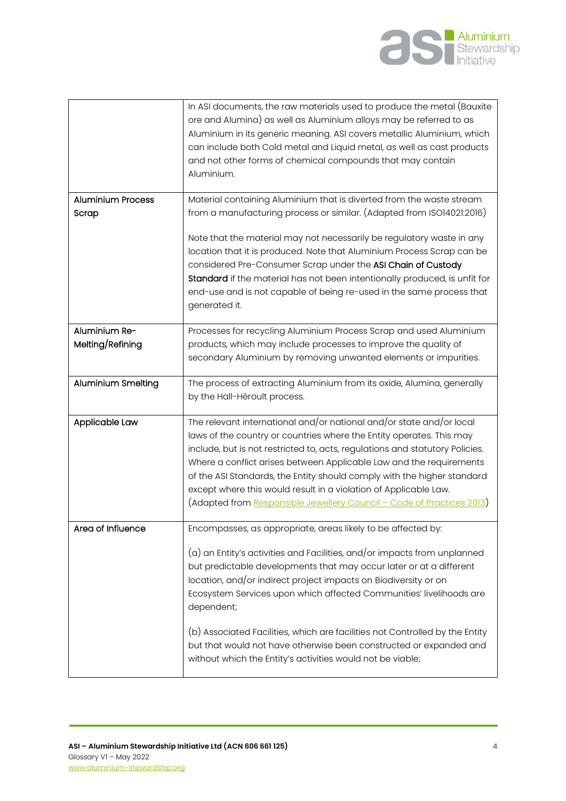

|                                   | In ASI documents, the raw materials used to produce the metal (Bauxite<br>ore and Alumina) as well as Aluminium alloys may be referred to as<br>Aluminium in its generic meaning. ASI covers metallic Aluminium, which<br>can include both Cold metal and Liquid metal, as well as cast products<br>and not other forms of chemical compounds that may contain<br>Aluminium.                                                                                                                                                |
|-----------------------------------|-----------------------------------------------------------------------------------------------------------------------------------------------------------------------------------------------------------------------------------------------------------------------------------------------------------------------------------------------------------------------------------------------------------------------------------------------------------------------------------------------------------------------------|
| <b>Aluminium Process</b><br>Scrap | Material containing Aluminium that is diverted from the waste stream<br>from a manufacturing process or similar. (Adapted from ISO14021:2016)                                                                                                                                                                                                                                                                                                                                                                               |
|                                   | Note that the material may not necessarily be regulatory waste in any<br>location that it is produced. Note that Aluminium Process Scrap can be<br>considered Pre-Consumer Scrap under the ASI Chain of Custody<br>Standard if the material has not been intentionally produced, is unfit for<br>end-use and is not capable of being re-used in the same process that<br>generated it.                                                                                                                                      |
| Aluminium Re-<br>Melting/Refining | Processes for recycling Aluminium Process Scrap and used Aluminium<br>products, which may include processes to improve the quality of<br>secondary Aluminium by removing unwanted elements or impurities.                                                                                                                                                                                                                                                                                                                   |
| <b>Aluminium Smelting</b>         | The process of extracting Aluminium from its oxide, Alumina, generally<br>by the Hall-Héroult process.                                                                                                                                                                                                                                                                                                                                                                                                                      |
| Applicable Law                    | The relevant international and/or national and/or state and/or local<br>laws of the country or countries where the Entity operates. This may<br>include, but is not restricted to, acts, regulations and statutory Policies.<br>Where a conflict arises between Applicable Law and the requirements<br>of the ASI Standards, the Entity should comply with the higher standard<br>except where this would result in a violation of Applicable Law.<br>(Adapted from Responsible Jewellery Council - Code of Practices 2013) |
| Area of Influence                 | Encompasses, as appropriate, areas likely to be affected by:<br>(a) an Entity's activities and Facilities, and/or impacts from unplanned<br>but predictable developments that may occur later or at a different<br>location, and/or indirect project impacts on Biodiversity or on<br>Ecosystem Services upon which affected Communities' livelihoods are<br>dependent;                                                                                                                                                     |
|                                   | (b) Associated Facilities, which are facilities not Controlled by the Entity<br>but that would not have otherwise been constructed or expanded and<br>without which the Entity's activities would not be viable;                                                                                                                                                                                                                                                                                                            |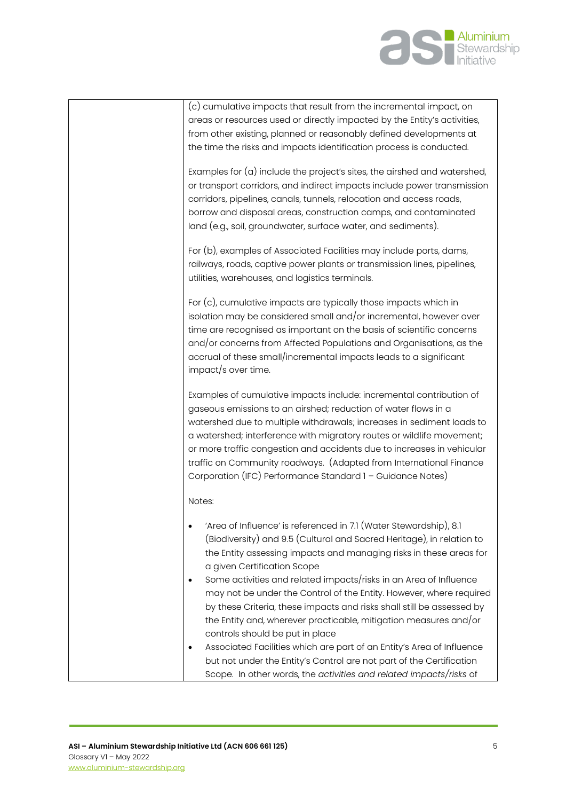

| (c) cumulative impacts that result from the incremental impact, on                                                                              |
|-------------------------------------------------------------------------------------------------------------------------------------------------|
| areas or resources used or directly impacted by the Entity's activities,                                                                        |
| from other existing, planned or reasonably defined developments at<br>the time the risks and impacts identification process is conducted.       |
|                                                                                                                                                 |
| Examples for $(a)$ include the project's sites, the airshed and watershed,                                                                      |
| or transport corridors, and indirect impacts include power transmission                                                                         |
| corridors, pipelines, canals, tunnels, relocation and access roads,                                                                             |
| borrow and disposal areas, construction camps, and contaminated                                                                                 |
| land (e.g., soil, groundwater, surface water, and sediments).                                                                                   |
| For (b), examples of Associated Facilities may include ports, dams,                                                                             |
| railways, roads, captive power plants or transmission lines, pipelines,                                                                         |
| utilities, warehouses, and logistics terminals.                                                                                                 |
| For $(c)$ , cumulative impacts are typically those impacts which in                                                                             |
| isolation may be considered small and/or incremental, however over                                                                              |
| time are recognised as important on the basis of scientific concerns                                                                            |
| and/or concerns from Affected Populations and Organisations, as the                                                                             |
| accrual of these small/incremental impacts leads to a significant                                                                               |
| impact/s over time.                                                                                                                             |
| Examples of cumulative impacts include: incremental contribution of                                                                             |
| gaseous emissions to an airshed; reduction of water flows in a                                                                                  |
| watershed due to multiple withdrawals; increases in sediment loads to                                                                           |
| a watershed; interference with migratory routes or wildlife movement;<br>or more traffic congestion and accidents due to increases in vehicular |
| traffic on Community roadways. (Adapted from International Finance                                                                              |
| Corporation (IFC) Performance Standard 1 - Guidance Notes)                                                                                      |
| Notes:                                                                                                                                          |
|                                                                                                                                                 |
| 'Area of Influence' is referenced in 7.1 (Water Stewardship), 8.1                                                                               |
| (Biodiversity) and 9.5 (Cultural and Sacred Heritage), in relation to                                                                           |
| the Entity assessing impacts and managing risks in these areas for                                                                              |
| a given Certification Scope<br>Some activities and related impacts/risks in an Area of Influence                                                |
| ٠<br>may not be under the Control of the Entity. However, where required                                                                        |
| by these Criteria, these impacts and risks shall still be assessed by                                                                           |
| the Entity and, wherever practicable, mitigation measures and/or                                                                                |
| controls should be put in place                                                                                                                 |
| Associated Facilities which are part of an Entity's Area of Influence<br>$\bullet$                                                              |
| but not under the Entity's Control are not part of the Certification                                                                            |
| Scope. In other words, the activities and related impacts/risks of                                                                              |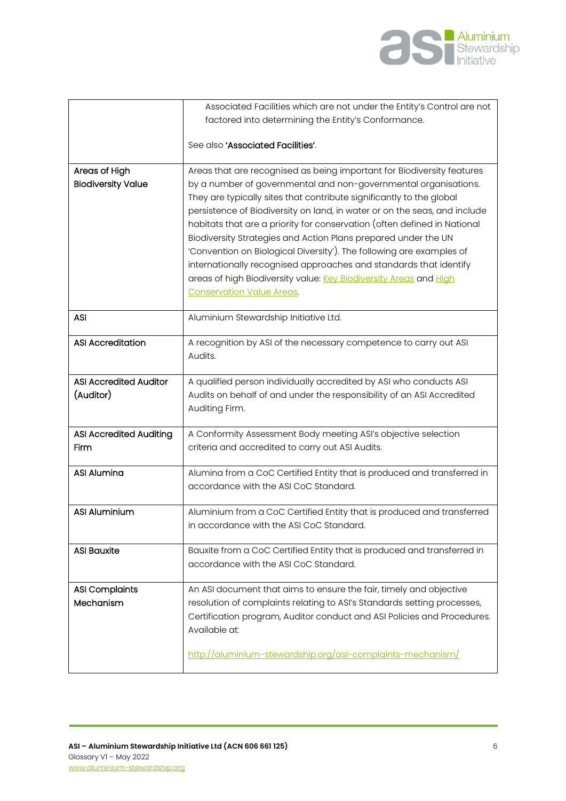

|                                | Associated Facilities which are not under the Entity's Control are not                                                                            |
|--------------------------------|---------------------------------------------------------------------------------------------------------------------------------------------------|
|                                | factored into determining the Entity's Conformance.                                                                                               |
|                                | See also 'Associated Facilities'.                                                                                                                 |
| Areas of High                  | Areas that are recognised as being important for Biodiversity features                                                                            |
| <b>Biodiversity Value</b>      | by a number of governmental and non-governmental organisations.                                                                                   |
|                                | They are typically sites that contribute significantly to the global<br>persistence of Biodiversity on land, in water or on the seas, and include |
|                                | habitats that are a priority for conservation (often defined in National                                                                          |
|                                | Biodiversity Strategies and Action Plans prepared under the UN                                                                                    |
|                                | 'Convention on Biological Diversity'). The following are examples of                                                                              |
|                                | internationally recognised approaches and standards that identify<br>areas of high Biodiversity value: Key Biodiversity Areas and High            |
|                                | <b>Conservation Value Areas.</b>                                                                                                                  |
|                                |                                                                                                                                                   |
| <b>ASI</b>                     | Aluminium Stewardship Initiative Ltd.                                                                                                             |
| <b>ASI Accreditation</b>       | A recognition by ASI of the necessary competence to carry out ASI                                                                                 |
|                                | Audits.                                                                                                                                           |
| <b>ASI Accredited Auditor</b>  | A qualified person individually accredited by ASI who conducts ASI                                                                                |
| (Auditor)                      | Audits on behalf of and under the responsibility of an ASI Accredited                                                                             |
|                                | Auditing Firm.                                                                                                                                    |
| <b>ASI Accredited Auditing</b> | A Conformity Assessment Body meeting ASI's objective selection                                                                                    |
| Firm                           | criteria and accredited to carry out ASI Audits.                                                                                                  |
| <b>ASI Alumina</b>             | Alumina from a CoC Certified Entity that is produced and transferred in                                                                           |
|                                | accordance with the ASI CoC Standard.                                                                                                             |
| <b>ASI Aluminium</b>           | Aluminium from a CoC Certified Entity that is produced and transferred                                                                            |
|                                | in accordance with the ASI CoC Standard.                                                                                                          |
|                                |                                                                                                                                                   |
| <b>ASI Bauxite</b>             | Bauxite from a CoC Certified Entity that is produced and transferred in<br>accordance with the ASI CoC Standard.                                  |
|                                |                                                                                                                                                   |
| <b>ASI Complaints</b>          | An ASI document that aims to ensure the fair, timely and objective                                                                                |
| Mechanism                      | resolution of complaints relating to ASI's Standards setting processes,                                                                           |
|                                | Certification program, Auditor conduct and ASI Policies and Procedures.<br>Available at:                                                          |
|                                |                                                                                                                                                   |
|                                | http://aluminium-stewardship.org/asi-complaints-mechanism/                                                                                        |
|                                |                                                                                                                                                   |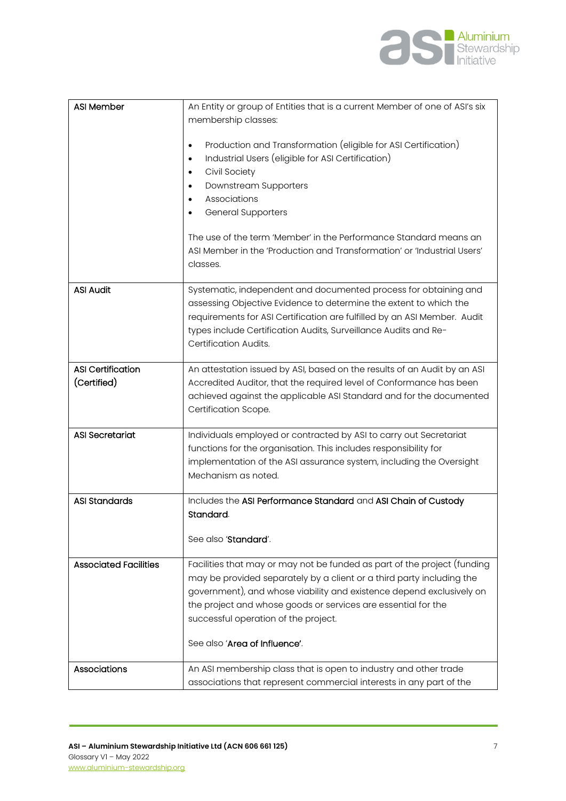

| <b>ASI Member</b>                       | An Entity or group of Entities that is a current Member of one of ASI's six                                                                                                                                                                                                                                   |
|-----------------------------------------|---------------------------------------------------------------------------------------------------------------------------------------------------------------------------------------------------------------------------------------------------------------------------------------------------------------|
|                                         | membership classes:                                                                                                                                                                                                                                                                                           |
|                                         | Production and Transformation (eligible for ASI Certification)<br>٠<br>Industrial Users (eligible for ASI Certification)<br>٠<br>Civil Society<br>Downstream Supporters<br>٠<br>Associations<br><b>General Supporters</b>                                                                                     |
|                                         | The use of the term 'Member' in the Performance Standard means an<br>ASI Member in the 'Production and Transformation' or 'Industrial Users'<br>classes.                                                                                                                                                      |
| <b>ASI Audit</b>                        | Systematic, independent and documented process for obtaining and<br>assessing Objective Evidence to determine the extent to which the<br>requirements for ASI Certification are fulfilled by an ASI Member. Audit<br>types include Certification Audits, Surveillance Audits and Re-<br>Certification Audits. |
| <b>ASI Certification</b><br>(Certified) | An attestation issued by ASI, based on the results of an Audit by an ASI<br>Accredited Auditor, that the required level of Conformance has been<br>achieved against the applicable ASI Standard and for the documented<br>Certification Scope.                                                                |
| <b>ASI Secretariat</b>                  | Individuals employed or contracted by ASI to carry out Secretariat<br>functions for the organisation. This includes responsibility for<br>implementation of the ASI assurance system, including the Oversight<br>Mechanism as noted.                                                                          |
| <b>ASI Standards</b>                    | Includes the ASI Performance Standard and ASI Chain of Custody<br>Standard.<br>See also 'Standard'.                                                                                                                                                                                                           |
| <b>Associated Facilities</b>            | Facilities that may or may not be funded as part of the project (funding                                                                                                                                                                                                                                      |
|                                         | may be provided separately by a client or a third party including the<br>government), and whose viability and existence depend exclusively on<br>the project and whose goods or services are essential for the<br>successful operation of the project.                                                        |
|                                         | See also 'Area of Influence'.                                                                                                                                                                                                                                                                                 |
| Associations                            | An ASI membership class that is open to industry and other trade<br>associations that represent commercial interests in any part of the                                                                                                                                                                       |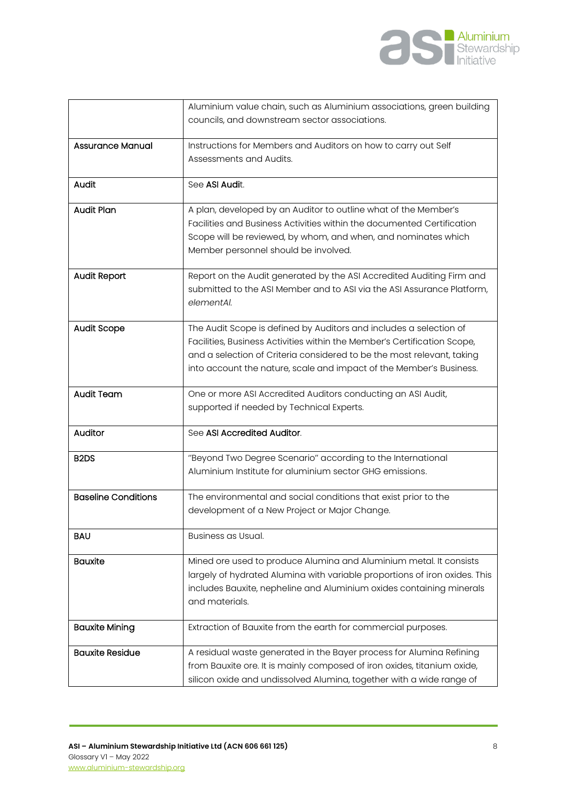

|                               | Aluminium value chain, such as Aluminium associations, green building                                                                                                                                                                                                                           |
|-------------------------------|-------------------------------------------------------------------------------------------------------------------------------------------------------------------------------------------------------------------------------------------------------------------------------------------------|
|                               | councils, and downstream sector associations.                                                                                                                                                                                                                                                   |
| <b>Assurance Manual</b>       | Instructions for Members and Auditors on how to carry out Self                                                                                                                                                                                                                                  |
|                               | Assessments and Audits.                                                                                                                                                                                                                                                                         |
| Audit                         | See ASI Audit.                                                                                                                                                                                                                                                                                  |
| Audit Plan                    | A plan, developed by an Auditor to outline what of the Member's<br>Facilities and Business Activities within the documented Certification<br>Scope will be reviewed, by whom, and when, and nominates which<br>Member personnel should be involved.                                             |
| <b>Audit Report</b>           | Report on the Audit generated by the ASI Accredited Auditing Firm and<br>submitted to the ASI Member and to ASI via the ASI Assurance Platform,<br>elementAl.                                                                                                                                   |
| <b>Audit Scope</b>            | The Audit Scope is defined by Auditors and includes a selection of<br>Facilities, Business Activities within the Member's Certification Scope,<br>and a selection of Criteria considered to be the most relevant, taking<br>into account the nature, scale and impact of the Member's Business. |
| <b>Audit Team</b>             | One or more ASI Accredited Auditors conducting an ASI Audit,<br>supported if needed by Technical Experts.                                                                                                                                                                                       |
| Auditor                       | See ASI Accredited Auditor.                                                                                                                                                                                                                                                                     |
| B <sub>2</sub> D <sub>S</sub> | "Beyond Two Degree Scenario" according to the International<br>Aluminium Institute for aluminium sector GHG emissions.                                                                                                                                                                          |
| <b>Baseline Conditions</b>    | The environmental and social conditions that exist prior to the<br>development of a New Project or Major Change.                                                                                                                                                                                |
| <b>BAU</b>                    | Business as Usual.                                                                                                                                                                                                                                                                              |
| <b>Bauxite</b>                | Mined ore used to produce Alumina and Aluminium metal. It consists<br>largely of hydrated Alumina with variable proportions of iron oxides. This<br>includes Bauxite, nepheline and Aluminium oxides containing minerals<br>and materials.                                                      |
| <b>Bauxite Mining</b>         | Extraction of Bauxite from the earth for commercial purposes.                                                                                                                                                                                                                                   |
| <b>Bauxite Residue</b>        | A residual waste generated in the Bayer process for Alumina Refining<br>from Bauxite ore. It is mainly composed of iron oxides, titanium oxide,<br>silicon oxide and undissolved Alumina, together with a wide range of                                                                         |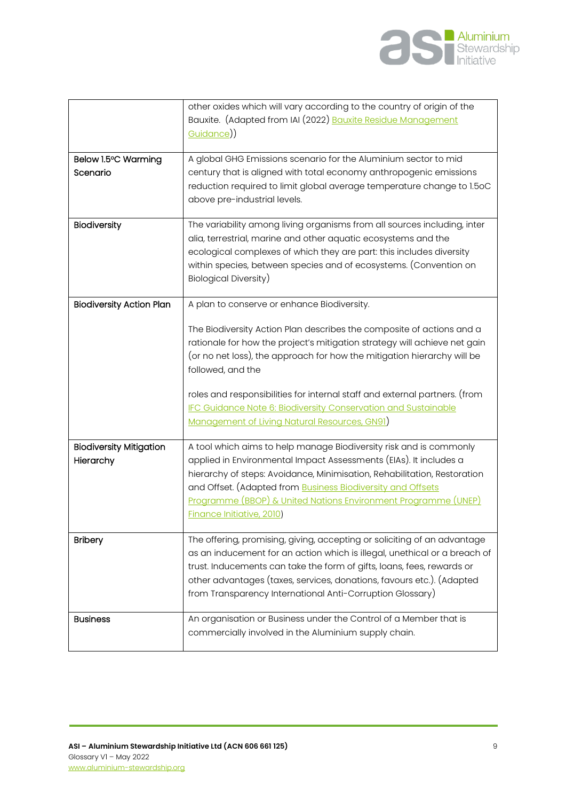

|                                 | other oxides which will vary according to the country of origin of the<br>Bauxite. (Adapted from IAI (2022) Bauxite Residue Management<br><u>Guidance</u> )) |
|---------------------------------|--------------------------------------------------------------------------------------------------------------------------------------------------------------|
| Below 1.5°C Warming             | A global GHG Emissions scenario for the Aluminium sector to mid                                                                                              |
| Scenario                        | century that is aligned with total economy anthropogenic emissions                                                                                           |
|                                 | reduction required to limit global average temperature change to 1.5oC<br>above pre-industrial levels.                                                       |
| Biodiversity                    | The variability among living organisms from all sources including, inter                                                                                     |
|                                 | alia, terrestrial, marine and other aquatic ecosystems and the                                                                                               |
|                                 |                                                                                                                                                              |
|                                 | ecological complexes of which they are part: this includes diversity                                                                                         |
|                                 | within species, between species and of ecosystems. (Convention on                                                                                            |
|                                 | Biological Diversity)                                                                                                                                        |
|                                 |                                                                                                                                                              |
| <b>Biodiversity Action Plan</b> | A plan to conserve or enhance Biodiversity.                                                                                                                  |
|                                 | The Biodiversity Action Plan describes the composite of actions and a                                                                                        |
|                                 |                                                                                                                                                              |
|                                 | rationale for how the project's mitigation strategy will achieve net gain                                                                                    |
|                                 | (or no net loss), the approach for how the mitigation hierarchy will be                                                                                      |
|                                 | followed, and the                                                                                                                                            |
|                                 | roles and responsibilities for internal staff and external partners. (from                                                                                   |
|                                 |                                                                                                                                                              |
|                                 | IFC Guidance Note 6: Biodiversity Conservation and Sustainable                                                                                               |
|                                 | Management of Living Natural Resources, GN91)                                                                                                                |
| <b>Biodiversity Mitigation</b>  | A tool which aims to help manage Biodiversity risk and is commonly                                                                                           |
| Hierarchy                       | applied in Environmental Impact Assessments (EIAs). It includes a                                                                                            |
|                                 | hierarchy of steps: Avoidance, Minimisation, Rehabilitation, Restoration                                                                                     |
|                                 |                                                                                                                                                              |
|                                 | and Offset. (Adapted from Business Biodiversity and Offsets                                                                                                  |
|                                 | Programme (BBOP) & United Nations Environment Programme (UNEP)                                                                                               |
|                                 | <b>Finance Initiative, 2010)</b>                                                                                                                             |
| <b>Bribery</b>                  | The offering, promising, giving, accepting or soliciting of an advantage                                                                                     |
|                                 | as an inducement for an action which is illegal, unethical or a breach of                                                                                    |
|                                 |                                                                                                                                                              |
|                                 | trust. Inducements can take the form of gifts, loans, fees, rewards or                                                                                       |
|                                 | other advantages (taxes, services, donations, favours etc.). (Adapted                                                                                        |
|                                 | from Transparency International Anti-Corruption Glossary)                                                                                                    |
| <b>Business</b>                 | An organisation or Business under the Control of a Member that is                                                                                            |
|                                 |                                                                                                                                                              |
|                                 | commercially involved in the Aluminium supply chain.                                                                                                         |
|                                 |                                                                                                                                                              |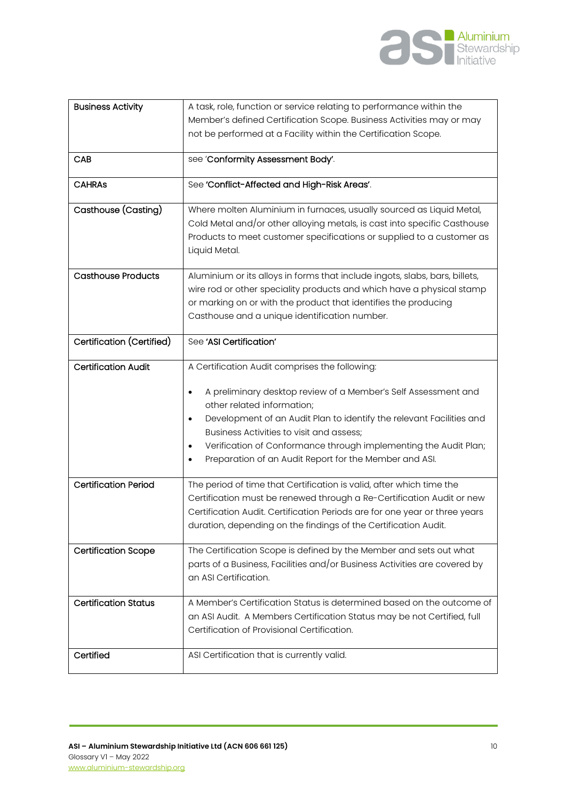

| <b>Business Activity</b><br>CAB | A task, role, function or service relating to performance within the<br>Member's defined Certification Scope. Business Activities may or may<br>not be performed at a Facility within the Certification Scope.<br>see 'Conformity Assessment Body'.                                                                                                                                                        |
|---------------------------------|------------------------------------------------------------------------------------------------------------------------------------------------------------------------------------------------------------------------------------------------------------------------------------------------------------------------------------------------------------------------------------------------------------|
| <b>CAHRAS</b>                   | See 'Conflict-Affected and High-Risk Areas'.                                                                                                                                                                                                                                                                                                                                                               |
| Casthouse (Casting)             | Where molten Aluminium in furnaces, usually sourced as Liquid Metal,<br>Cold Metal and/or other alloying metals, is cast into specific Casthouse<br>Products to meet customer specifications or supplied to a customer as<br>Liquid Metal.                                                                                                                                                                 |
| <b>Casthouse Products</b>       | Aluminium or its alloys in forms that include ingots, slabs, bars, billets,<br>wire rod or other speciality products and which have a physical stamp<br>or marking on or with the product that identifies the producing<br>Casthouse and a unique identification number.                                                                                                                                   |
| Certification (Certified)       | See 'ASI Certification'                                                                                                                                                                                                                                                                                                                                                                                    |
| <b>Certification Audit</b>      | A Certification Audit comprises the following:<br>A preliminary desktop review of a Member's Self Assessment and<br>٠<br>other related information;<br>Development of an Audit Plan to identify the relevant Facilities and<br>٠<br>Business Activities to visit and assess;<br>Verification of Conformance through implementing the Audit Plan;<br>Preparation of an Audit Report for the Member and ASI. |
| <b>Certification Period</b>     | The period of time that Certification is valid, after which time the<br>Certification must be renewed through a Re-Certification Audit or new<br>Certification Audit. Certification Periods are for one year or three years<br>duration, depending on the findings of the Certification Audit.                                                                                                             |
| <b>Certification Scope</b>      | The Certification Scope is defined by the Member and sets out what<br>parts of a Business, Facilities and/or Business Activities are covered by<br>an ASI Certification.                                                                                                                                                                                                                                   |
| <b>Certification Status</b>     | A Member's Certification Status is determined based on the outcome of<br>an ASI Audit. A Members Certification Status may be not Certified, full<br>Certification of Provisional Certification.                                                                                                                                                                                                            |
| Certified                       | ASI Certification that is currently valid.                                                                                                                                                                                                                                                                                                                                                                 |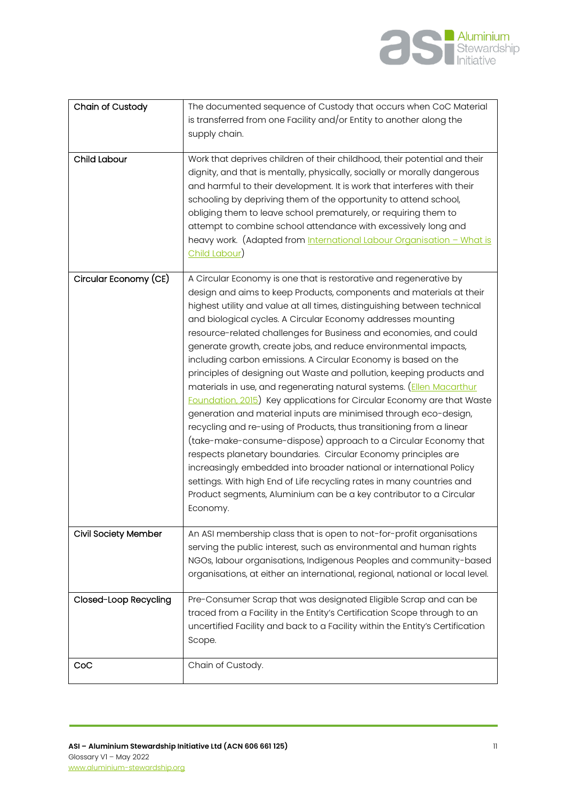

| Chain of Custody            | The documented sequence of Custody that occurs when CoC Material<br>is transferred from one Facility and/or Entity to another along the<br>supply chain.                                                                                                                                                                                                                                                                                                                                                                                                                                                                                                                                                                                                                                                                                                                                                                                                                                                                                                                                                                                                                                                                                            |
|-----------------------------|-----------------------------------------------------------------------------------------------------------------------------------------------------------------------------------------------------------------------------------------------------------------------------------------------------------------------------------------------------------------------------------------------------------------------------------------------------------------------------------------------------------------------------------------------------------------------------------------------------------------------------------------------------------------------------------------------------------------------------------------------------------------------------------------------------------------------------------------------------------------------------------------------------------------------------------------------------------------------------------------------------------------------------------------------------------------------------------------------------------------------------------------------------------------------------------------------------------------------------------------------------|
| <b>Child Labour</b>         | Work that deprives children of their childhood, their potential and their<br>dignity, and that is mentally, physically, socially or morally dangerous<br>and harmful to their development. It is work that interferes with their<br>schooling by depriving them of the opportunity to attend school,<br>obliging them to leave school prematurely, or requiring them to<br>attempt to combine school attendance with excessively long and<br>heavy work. (Adapted from International Labour Organisation - What is<br>Child Labour)                                                                                                                                                                                                                                                                                                                                                                                                                                                                                                                                                                                                                                                                                                                 |
| Circular Economy (CE)       | A Circular Economy is one that is restorative and regenerative by<br>design and aims to keep Products, components and materials at their<br>highest utility and value at all times, distinguishing between technical<br>and biological cycles. A Circular Economy addresses mounting<br>resource-related challenges for Business and economies, and could<br>generate growth, create jobs, and reduce environmental impacts,<br>including carbon emissions. A Circular Economy is based on the<br>principles of designing out Waste and pollution, keeping products and<br>materials in use, and regenerating natural systems. (Ellen Macarthur<br><b>Foundation, 2015)</b> Key applications for Circular Economy are that Waste<br>generation and material inputs are minimised through eco-design,<br>recycling and re-using of Products, thus transitioning from a linear<br>(take-make-consume-dispose) approach to a Circular Economy that<br>respects planetary boundaries. Circular Economy principles are<br>increasingly embedded into broader national or international Policy<br>settings. With high End of Life recycling rates in many countries and<br>Product segments, Aluminium can be a key contributor to a Circular<br>Economy. |
| <b>Civil Society Member</b> | An ASI membership class that is open to not-for-profit organisations<br>serving the public interest, such as environmental and human rights<br>NGOs, labour organisations, Indigenous Peoples and community-based<br>organisations, at either an international, regional, national or local level.                                                                                                                                                                                                                                                                                                                                                                                                                                                                                                                                                                                                                                                                                                                                                                                                                                                                                                                                                  |
| Closed-Loop Recycling       | Pre-Consumer Scrap that was designated Eligible Scrap and can be<br>traced from a Facility in the Entity's Certification Scope through to an<br>uncertified Facility and back to a Facility within the Entity's Certification<br>Scope.                                                                                                                                                                                                                                                                                                                                                                                                                                                                                                                                                                                                                                                                                                                                                                                                                                                                                                                                                                                                             |
| CoC                         | Chain of Custody.                                                                                                                                                                                                                                                                                                                                                                                                                                                                                                                                                                                                                                                                                                                                                                                                                                                                                                                                                                                                                                                                                                                                                                                                                                   |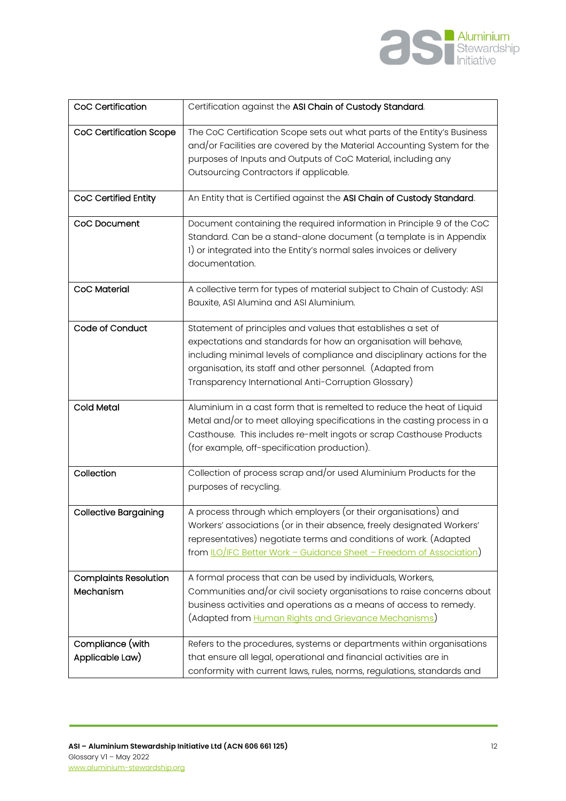

| CoC Certification                         | Certification against the ASI Chain of Custody Standard.                                                                                                                                                                                                                                                                         |
|-------------------------------------------|----------------------------------------------------------------------------------------------------------------------------------------------------------------------------------------------------------------------------------------------------------------------------------------------------------------------------------|
| CoC Certification Scope                   | The CoC Certification Scope sets out what parts of the Entity's Business<br>and/or Facilities are covered by the Material Accounting System for the<br>purposes of Inputs and Outputs of CoC Material, including any<br>Outsourcing Contractors if applicable.                                                                   |
| CoC Certified Entity                      | An Entity that is Certified against the ASI Chain of Custody Standard.                                                                                                                                                                                                                                                           |
| CoC Document                              | Document containing the required information in Principle 9 of the CoC<br>Standard. Can be a stand-alone document (a template is in Appendix<br>1) or integrated into the Entity's normal sales invoices or delivery<br>documentation.                                                                                           |
| <b>CoC Material</b>                       | A collective term for types of material subject to Chain of Custody: ASI<br>Bauxite, ASI Alumina and ASI Aluminium.                                                                                                                                                                                                              |
| Code of Conduct                           | Statement of principles and values that establishes a set of<br>expectations and standards for how an organisation will behave,<br>including minimal levels of compliance and disciplinary actions for the<br>organisation, its staff and other personnel. (Adapted from<br>Transparency International Anti-Corruption Glossary) |
| Cold Metal                                | Aluminium in a cast form that is remelted to reduce the heat of Liquid<br>Metal and/or to meet alloying specifications in the casting process in a<br>Casthouse. This includes re-melt ingots or scrap Casthouse Products<br>(for example, off-specification production).                                                        |
| Collection                                | Collection of process scrap and/or used Aluminium Products for the<br>purposes of recycling.                                                                                                                                                                                                                                     |
| <b>Collective Bargaining</b>              | A process through which employers (or their organisations) and<br>Workers' associations (or in their absence, freely designated Workers'<br>representatives) negotiate terms and conditions of work. (Adapted<br>from LO/IFC Better Work - Guidance Sheet - Freedom of Association)                                              |
| <b>Complaints Resolution</b><br>Mechanism | A formal process that can be used by individuals, Workers,<br>Communities and/or civil society organisations to raise concerns about                                                                                                                                                                                             |
|                                           | business activities and operations as a means of access to remedy.<br>(Adapted from <u>Human Rights and Grievance Mechanisms</u> )                                                                                                                                                                                               |
| Compliance (with<br>Applicable Law)       | Refers to the procedures, systems or departments within organisations<br>that ensure all legal, operational and financial activities are in<br>conformity with current laws, rules, norms, regulations, standards and                                                                                                            |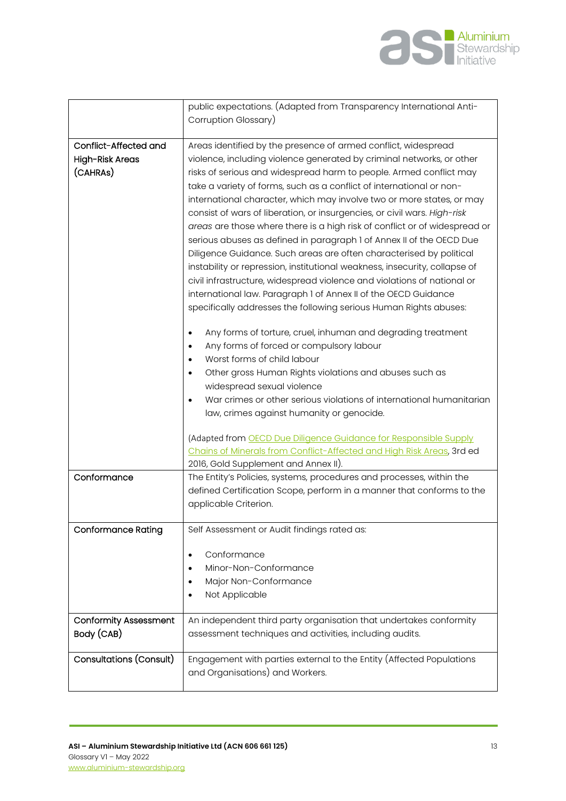

|                              | public expectations. (Adapted from Transparency International Anti-               |
|------------------------------|-----------------------------------------------------------------------------------|
|                              | Corruption Glossary)                                                              |
|                              |                                                                                   |
| Conflict-Affected and        | Areas identified by the presence of armed conflict, widespread                    |
| High-Risk Areas              | violence, including violence generated by criminal networks, or other             |
| (CAHRAS)                     | risks of serious and widespread harm to people. Armed conflict may                |
|                              | take a variety of forms, such as a conflict of international or non-              |
|                              | international character, which may involve two or more states, or may             |
|                              | consist of wars of liberation, or insurgencies, or civil wars. High-risk          |
|                              | areas are those where there is a high risk of conflict or of widespread or        |
|                              | serious abuses as defined in paragraph 1 of Annex II of the OECD Due              |
|                              | Diligence Guidance. Such areas are often characterised by political               |
|                              | instability or repression, institutional weakness, insecurity, collapse of        |
|                              |                                                                                   |
|                              | civil infrastructure, widespread violence and violations of national or           |
|                              | international law. Paragraph 1 of Annex II of the OECD Guidance                   |
|                              | specifically addresses the following serious Human Rights abuses:                 |
|                              | Any forms of torture, cruel, inhuman and degrading treatment                      |
|                              | Any forms of forced or compulsory labour                                          |
|                              | Worst forms of child labour<br>$\bullet$                                          |
|                              | Other gross Human Rights violations and abuses such as                            |
|                              | widespread sexual violence                                                        |
|                              | War crimes or other serious violations of international humanitarian<br>$\bullet$ |
|                              | law, crimes against humanity or genocide.                                         |
|                              |                                                                                   |
|                              | (Adapted from OECD Due Diligence Guidance for Responsible Supply                  |
|                              | Chains of Minerals from Conflict-Affected and High Risk Areas, 3rd ed             |
|                              | 2016, Gold Supplement and Annex II).                                              |
| Conformance                  | The Entity's Policies, systems, procedures and processes, within the              |
|                              | defined Certification Scope, perform in a manner that conforms to the             |
|                              | applicable Criterion.                                                             |
|                              |                                                                                   |
| <b>Conformance Rating</b>    | Self Assessment or Audit findings rated as:                                       |
|                              |                                                                                   |
|                              | Conformance<br>٠                                                                  |
|                              | Minor-Non-Conformance                                                             |
|                              | Major Non-Conformance                                                             |
|                              | Not Applicable                                                                    |
| <b>Conformity Assessment</b> | An independent third party organisation that undertakes conformity                |
| Body (CAB)                   | assessment techniques and activities, including audits.                           |
|                              |                                                                                   |
| Consultations (Consult)      | Engagement with parties external to the Entity (Affected Populations              |
|                              | and Organisations) and Workers.                                                   |
|                              |                                                                                   |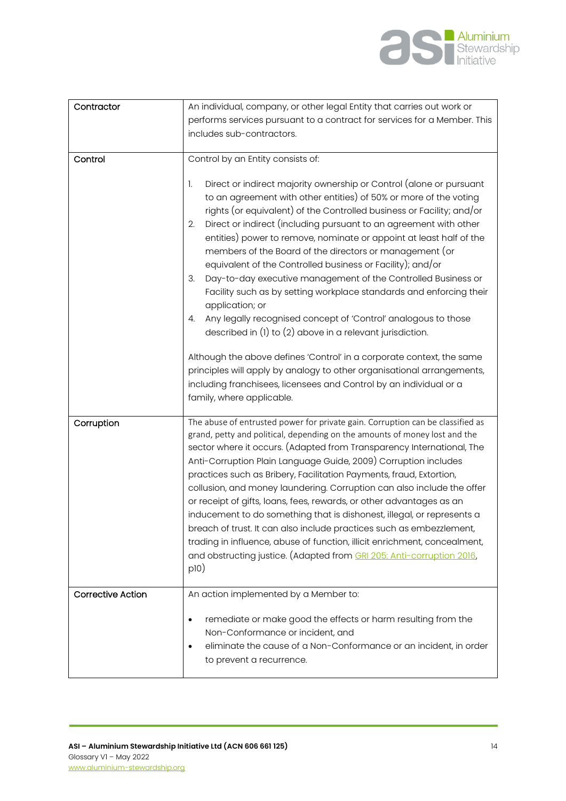

| Contractor               | An individual, company, or other legal Entity that carries out work or                                                                                                                                                                                                                                                                                                                                                                                                                                                                                                                                                                                                                                                                                                                                                                                                                                                                                                                                                            |
|--------------------------|-----------------------------------------------------------------------------------------------------------------------------------------------------------------------------------------------------------------------------------------------------------------------------------------------------------------------------------------------------------------------------------------------------------------------------------------------------------------------------------------------------------------------------------------------------------------------------------------------------------------------------------------------------------------------------------------------------------------------------------------------------------------------------------------------------------------------------------------------------------------------------------------------------------------------------------------------------------------------------------------------------------------------------------|
|                          | performs services pursuant to a contract for services for a Member. This                                                                                                                                                                                                                                                                                                                                                                                                                                                                                                                                                                                                                                                                                                                                                                                                                                                                                                                                                          |
|                          | includes sub-contractors.                                                                                                                                                                                                                                                                                                                                                                                                                                                                                                                                                                                                                                                                                                                                                                                                                                                                                                                                                                                                         |
| Control                  | Control by an Entity consists of:                                                                                                                                                                                                                                                                                                                                                                                                                                                                                                                                                                                                                                                                                                                                                                                                                                                                                                                                                                                                 |
|                          | Direct or indirect majority ownership or Control (alone or pursuant<br>1.<br>to an agreement with other entities) of 50% or more of the voting<br>rights (or equivalent) of the Controlled business or Facility; and/or<br>Direct or indirect (including pursuant to an agreement with other<br>2.<br>entities) power to remove, nominate or appoint at least half of the<br>members of the Board of the directors or management (or<br>equivalent of the Controlled business or Facility); and/or<br>Day-to-day executive management of the Controlled Business or<br>3.<br>Facility such as by setting workplace standards and enforcing their<br>application; or<br>Any legally recognised concept of 'Control' analogous to those<br>4.<br>described in (1) to (2) above in a relevant jurisdiction.<br>Although the above defines 'Control' in a corporate context, the same<br>principles will apply by analogy to other organisational arrangements,<br>including franchisees, licensees and Control by an individual or a |
|                          | family, where applicable.                                                                                                                                                                                                                                                                                                                                                                                                                                                                                                                                                                                                                                                                                                                                                                                                                                                                                                                                                                                                         |
| Corruption               | The abuse of entrusted power for private gain. Corruption can be classified as<br>grand, petty and political, depending on the amounts of money lost and the<br>sector where it occurs. (Adapted from Transparency International, The<br>Anti-Corruption Plain Language Guide, 2009) Corruption includes<br>practices such as Bribery, Facilitation Payments, fraud, Extortion,<br>collusion, and money laundering. Corruption can also include the offer<br>or receipt of gifts, loans, fees, rewards, or other advantages as an<br>inducement to do something that is dishonest, illegal, or represents a<br>breach of trust. It can also include practices such as embezzlement,<br>trading in influence, abuse of function, illicit enrichment, concealment,<br>and obstructing justice. (Adapted from GRI 205: Anti-corruption 2016,<br>p10)                                                                                                                                                                                 |
| <b>Corrective Action</b> | An action implemented by a Member to:                                                                                                                                                                                                                                                                                                                                                                                                                                                                                                                                                                                                                                                                                                                                                                                                                                                                                                                                                                                             |
|                          | remediate or make good the effects or harm resulting from the<br>$\bullet$<br>Non-Conformance or incident, and<br>eliminate the cause of a Non-Conformance or an incident, in order<br>٠<br>to prevent a recurrence.                                                                                                                                                                                                                                                                                                                                                                                                                                                                                                                                                                                                                                                                                                                                                                                                              |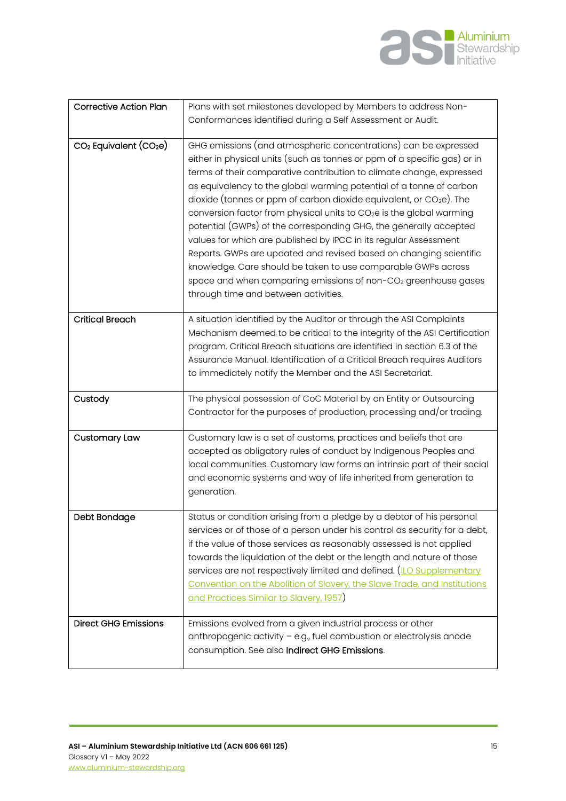

| <b>Corrective Action Plan</b>                  | Plans with set milestones developed by Members to address Non-                                                                                                                                                                                                                                                                                                                                                                                                                                                                                                                                                                                                                                                                                                                                                                                                |
|------------------------------------------------|---------------------------------------------------------------------------------------------------------------------------------------------------------------------------------------------------------------------------------------------------------------------------------------------------------------------------------------------------------------------------------------------------------------------------------------------------------------------------------------------------------------------------------------------------------------------------------------------------------------------------------------------------------------------------------------------------------------------------------------------------------------------------------------------------------------------------------------------------------------|
|                                                |                                                                                                                                                                                                                                                                                                                                                                                                                                                                                                                                                                                                                                                                                                                                                                                                                                                               |
|                                                | Conformances identified during a Self Assessment or Audit.                                                                                                                                                                                                                                                                                                                                                                                                                                                                                                                                                                                                                                                                                                                                                                                                    |
|                                                |                                                                                                                                                                                                                                                                                                                                                                                                                                                                                                                                                                                                                                                                                                                                                                                                                                                               |
| CO <sub>2</sub> Equivalent (CO <sub>2</sub> e) | GHG emissions (and atmospheric concentrations) can be expressed<br>either in physical units (such as tonnes or ppm of a specific gas) or in<br>terms of their comparative contribution to climate change, expressed<br>as equivalency to the global warming potential of a tonne of carbon<br>dioxide (tonnes or ppm of carbon dioxide equivalent, or $CO2e$ ). The<br>conversion factor from physical units to CO <sub>2</sub> e is the global warming<br>potential (GWPs) of the corresponding GHG, the generally accepted<br>values for which are published by IPCC in its regular Assessment<br>Reports. GWPs are updated and revised based on changing scientific<br>knowledge. Care should be taken to use comparable GWPs across<br>space and when comparing emissions of non-CO <sub>2</sub> greenhouse gases<br>through time and between activities. |
|                                                |                                                                                                                                                                                                                                                                                                                                                                                                                                                                                                                                                                                                                                                                                                                                                                                                                                                               |
| <b>Critical Breach</b>                         | A situation identified by the Auditor or through the ASI Complaints<br>Mechanism deemed to be critical to the integrity of the ASI Certification<br>program. Critical Breach situations are identified in section 6.3 of the<br>Assurance Manual. Identification of a Critical Breach requires Auditors<br>to immediately notify the Member and the ASI Secretariat.                                                                                                                                                                                                                                                                                                                                                                                                                                                                                          |
| Custody                                        | The physical possession of CoC Material by an Entity or Outsourcing<br>Contractor for the purposes of production, processing and/or trading.                                                                                                                                                                                                                                                                                                                                                                                                                                                                                                                                                                                                                                                                                                                  |
| <b>Customary Law</b>                           | Customary law is a set of customs, practices and beliefs that are<br>accepted as obligatory rules of conduct by Indigenous Peoples and<br>local communities. Customary law forms an intrinsic part of their social<br>and economic systems and way of life inherited from generation to<br>generation.                                                                                                                                                                                                                                                                                                                                                                                                                                                                                                                                                        |
| Debt Bondage                                   | Status or condition arising from a pledge by a debtor of his personal<br>services or of those of a person under his control as security for a debt,<br>if the value of those services as reasonably assessed is not applied<br>towards the liquidation of the debt or the length and nature of those<br>services are not respectively limited and defined. (ILO Supplementary<br>Convention on the Abolition of Slavery, the Slave Trade, and Institutions<br>and Practices Similar to Slavery, 1957)                                                                                                                                                                                                                                                                                                                                                         |
| <b>Direct GHG Emissions</b>                    | Emissions evolved from a given industrial process or other<br>anthropogenic activity - e.g., fuel combustion or electrolysis anode<br>consumption. See also Indirect GHG Emissions.                                                                                                                                                                                                                                                                                                                                                                                                                                                                                                                                                                                                                                                                           |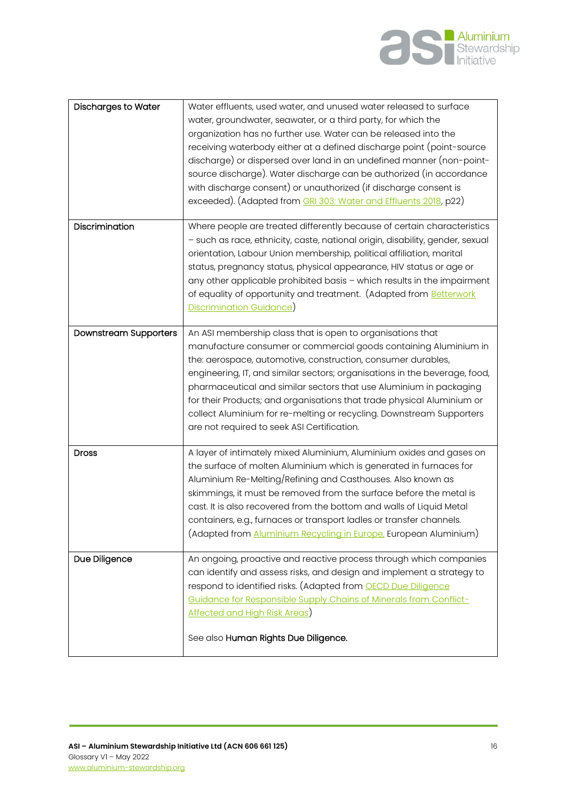

| <b>Discharges to Water</b>   | Water effluents, used water, and unused water released to surface<br>water, groundwater, seawater, or a third party, for which the<br>organization has no further use. Water can be released into the<br>receiving waterbody either at a defined discharge point (point-source<br>discharge) or dispersed over land in an undefined manner (non-point-<br>source discharge). Water discharge can be authorized (in accordance<br>with discharge consent) or unauthorized (if discharge consent is<br>exceeded). (Adapted from GRI 303: Water and Effluents 2018, p22) |
|------------------------------|-----------------------------------------------------------------------------------------------------------------------------------------------------------------------------------------------------------------------------------------------------------------------------------------------------------------------------------------------------------------------------------------------------------------------------------------------------------------------------------------------------------------------------------------------------------------------|
| Discrimination               | Where people are treated differently because of certain characteristics<br>- such as race, ethnicity, caste, national origin, disability, gender, sexual<br>orientation, Labour Union membership, political affiliation, marital<br>status, pregnancy status, physical appearance, HIV status or age or<br>any other applicable prohibited basis - which results in the impairment<br>of equality of opportunity and treatment. (Adapted from Betterwork<br>Discrimination Guidance)                                                                                  |
| <b>Downstream Supporters</b> | An ASI membership class that is open to organisations that<br>manufacture consumer or commercial goods containing Aluminium in<br>the: aerospace, automotive, construction, consumer durables,<br>engineering, IT, and similar sectors; organisations in the beverage, food,<br>pharmaceutical and similar sectors that use Aluminium in packaging<br>for their Products; and organisations that trade physical Aluminium or<br>collect Aluminium for re-melting or recycling. Downstream Supporters<br>are not required to seek ASI Certification.                   |
| <b>Dross</b>                 | A layer of intimately mixed Aluminium, Aluminium oxides and gases on<br>the surface of molten Aluminium which is generated in furnaces for<br>Aluminium Re-Melting/Refining and Casthouses. Also known as<br>skimmings, it must be removed from the surface before the metal is<br>cast. It is also recovered from the bottom and walls of Liquid Metal<br>containers, e.g., furnaces or transport ladles or transfer channels.<br>(Adapted from Aluminium Recycling in Europe, European Aluminium)                                                                   |
| Due Diligence                | An ongoing, proactive and reactive process through which companies<br>can identify and assess risks, and design and implement a strategy to<br>respond to identified risks. (Adapted from <b>OECD Due Diligence</b><br>Guidance for Responsible Supply Chains of Minerals from Conflict-<br>Affected and High Risk Areas)<br>See also Human Rights Due Diligence.                                                                                                                                                                                                     |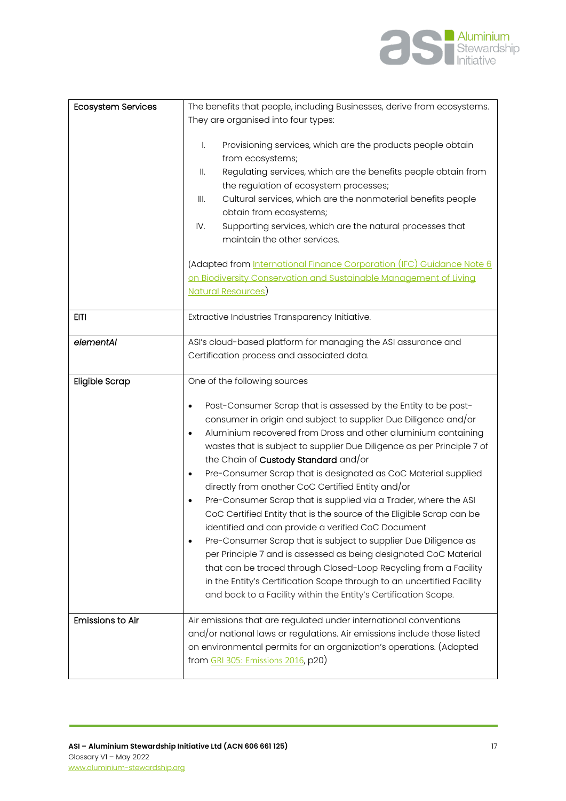

| <b>Ecosystem Services</b> | The benefits that people, including Businesses, derive from ecosystems.                                                                                                                                                                                                                                                                                                                                                                                                                                                                                                                                                                                                                                                                                                                                                                                                                                                                                                                                                    |
|---------------------------|----------------------------------------------------------------------------------------------------------------------------------------------------------------------------------------------------------------------------------------------------------------------------------------------------------------------------------------------------------------------------------------------------------------------------------------------------------------------------------------------------------------------------------------------------------------------------------------------------------------------------------------------------------------------------------------------------------------------------------------------------------------------------------------------------------------------------------------------------------------------------------------------------------------------------------------------------------------------------------------------------------------------------|
|                           | They are organised into four types:                                                                                                                                                                                                                                                                                                                                                                                                                                                                                                                                                                                                                                                                                                                                                                                                                                                                                                                                                                                        |
|                           | Ι.<br>Provisioning services, which are the products people obtain<br>from ecosystems;<br>Regulating services, which are the benefits people obtain from<br>II.<br>the regulation of ecosystem processes;<br>Cultural services, which are the nonmaterial benefits people<br>III.<br>obtain from ecosystems;<br>Supporting services, which are the natural processes that<br>IV.<br>maintain the other services.<br>(Adapted from International Finance Corporation (IFC) Guidance Note 6<br>on Biodiversity Conservation and Sustainable Management of Living                                                                                                                                                                                                                                                                                                                                                                                                                                                              |
|                           | Natural Resources)                                                                                                                                                                                                                                                                                                                                                                                                                                                                                                                                                                                                                                                                                                                                                                                                                                                                                                                                                                                                         |
| <b>EITI</b>               | Extractive Industries Transparency Initiative.                                                                                                                                                                                                                                                                                                                                                                                                                                                                                                                                                                                                                                                                                                                                                                                                                                                                                                                                                                             |
|                           |                                                                                                                                                                                                                                                                                                                                                                                                                                                                                                                                                                                                                                                                                                                                                                                                                                                                                                                                                                                                                            |
| elementAl                 | ASI's cloud-based platform for managing the ASI assurance and                                                                                                                                                                                                                                                                                                                                                                                                                                                                                                                                                                                                                                                                                                                                                                                                                                                                                                                                                              |
|                           | Certification process and associated data.                                                                                                                                                                                                                                                                                                                                                                                                                                                                                                                                                                                                                                                                                                                                                                                                                                                                                                                                                                                 |
| <b>Eligible Scrap</b>     | One of the following sources                                                                                                                                                                                                                                                                                                                                                                                                                                                                                                                                                                                                                                                                                                                                                                                                                                                                                                                                                                                               |
|                           | Post-Consumer Scrap that is assessed by the Entity to be post-<br>٠<br>consumer in origin and subject to supplier Due Diligence and/or<br>Aluminium recovered from Dross and other aluminium containing<br>٠<br>wastes that is subject to supplier Due Diligence as per Principle 7 of<br>the Chain of <b>Custody Standard</b> and/or<br>Pre-Consumer Scrap that is designated as CoC Material supplied<br>٠<br>directly from another CoC Certified Entity and/or<br>Pre-Consumer Scrap that is supplied via a Trader, where the ASI<br>CoC Certified Entity that is the source of the Eligible Scrap can be<br>identified and can provide a verified CoC Document<br>Pre-Consumer Scrap that is subject to supplier Due Diligence as<br>per Principle 7 and is assessed as being designated CoC Material<br>that can be traced through Closed-Loop Recycling from a Facility<br>in the Entity's Certification Scope through to an uncertified Facility<br>and back to a Facility within the Entity's Certification Scope. |
| <b>Emissions to Air</b>   | Air emissions that are regulated under international conventions<br>and/or national laws or regulations. Air emissions include those listed<br>on environmental permits for an organization's operations. (Adapted<br>from GRI 305: Emissions 2016, p20)                                                                                                                                                                                                                                                                                                                                                                                                                                                                                                                                                                                                                                                                                                                                                                   |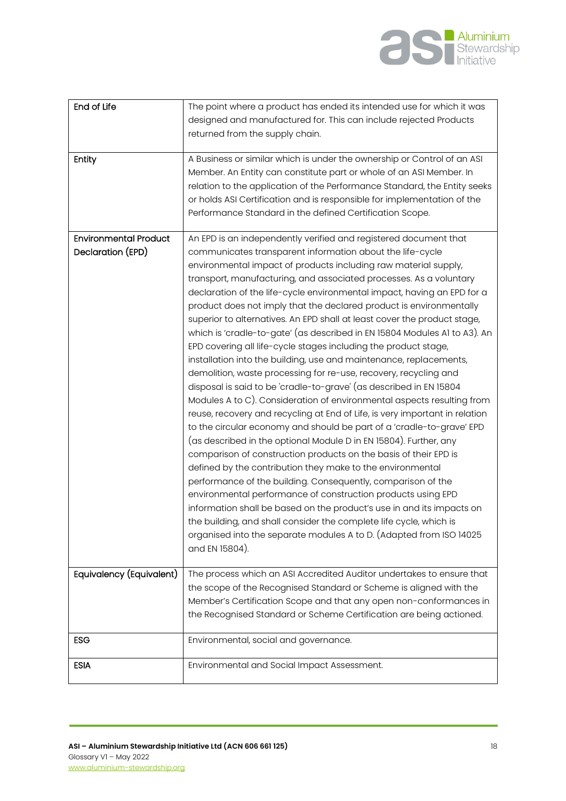

| End of Life                                       | The point where a product has ended its intended use for which it was<br>designed and manufactured for. This can include rejected Products<br>returned from the supply chain.                                                                                                                                                                                                                                                                                                                                                                                                                                                                                                                                                                                                                                                                                                                                                                                                                                                                                                                                                                                                                                                                                                                                                                                                                                                                                                                                                                                                                                                                                                         |
|---------------------------------------------------|---------------------------------------------------------------------------------------------------------------------------------------------------------------------------------------------------------------------------------------------------------------------------------------------------------------------------------------------------------------------------------------------------------------------------------------------------------------------------------------------------------------------------------------------------------------------------------------------------------------------------------------------------------------------------------------------------------------------------------------------------------------------------------------------------------------------------------------------------------------------------------------------------------------------------------------------------------------------------------------------------------------------------------------------------------------------------------------------------------------------------------------------------------------------------------------------------------------------------------------------------------------------------------------------------------------------------------------------------------------------------------------------------------------------------------------------------------------------------------------------------------------------------------------------------------------------------------------------------------------------------------------------------------------------------------------|
| Entity                                            | A Business or similar which is under the ownership or Control of an ASI<br>Member. An Entity can constitute part or whole of an ASI Member. In<br>relation to the application of the Performance Standard, the Entity seeks<br>or holds ASI Certification and is responsible for implementation of the<br>Performance Standard in the defined Certification Scope.                                                                                                                                                                                                                                                                                                                                                                                                                                                                                                                                                                                                                                                                                                                                                                                                                                                                                                                                                                                                                                                                                                                                                                                                                                                                                                                    |
| <b>Environmental Product</b><br>Declaration (EPD) | An EPD is an independently verified and registered document that<br>communicates transparent information about the life-cycle<br>environmental impact of products including raw material supply,<br>transport, manufacturing, and associated processes. As a voluntary<br>declaration of the life-cycle environmental impact, having an EPD for a<br>product does not imply that the declared product is environmentally<br>superior to alternatives. An EPD shall at least cover the product stage,<br>which is 'cradle-to-gate' (as described in EN 15804 Modules A1 to A3). An<br>EPD covering all life-cycle stages including the product stage,<br>installation into the building, use and maintenance, replacements,<br>demolition, waste processing for re-use, recovery, recycling and<br>disposal is said to be 'cradle-to-grave' (as described in EN 15804<br>Modules A to C). Consideration of environmental aspects resulting from<br>reuse, recovery and recycling at End of Life, is very important in relation<br>to the circular economy and should be part of a 'cradle-to-grave' EPD<br>(as described in the optional Module D in EN 15804). Further, any<br>comparison of construction products on the basis of their EPD is<br>defined by the contribution they make to the environmental<br>performance of the building. Consequently, comparison of the<br>environmental performance of construction products using EPD<br>information shall be based on the product's use in and its impacts on<br>the building, and shall consider the complete life cycle, which is<br>organised into the separate modules A to D. (Adapted from ISO 14025<br>and EN 15804). |
| Equivalency (Equivalent)                          | The process which an ASI Accredited Auditor undertakes to ensure that<br>the scope of the Recognised Standard or Scheme is aligned with the<br>Member's Certification Scope and that any open non-conformances in<br>the Recognised Standard or Scheme Certification are being actioned.                                                                                                                                                                                                                                                                                                                                                                                                                                                                                                                                                                                                                                                                                                                                                                                                                                                                                                                                                                                                                                                                                                                                                                                                                                                                                                                                                                                              |
| <b>ESG</b>                                        | Environmental, social and governance.                                                                                                                                                                                                                                                                                                                                                                                                                                                                                                                                                                                                                                                                                                                                                                                                                                                                                                                                                                                                                                                                                                                                                                                                                                                                                                                                                                                                                                                                                                                                                                                                                                                 |
| <b>ESIA</b>                                       | Environmental and Social Impact Assessment.                                                                                                                                                                                                                                                                                                                                                                                                                                                                                                                                                                                                                                                                                                                                                                                                                                                                                                                                                                                                                                                                                                                                                                                                                                                                                                                                                                                                                                                                                                                                                                                                                                           |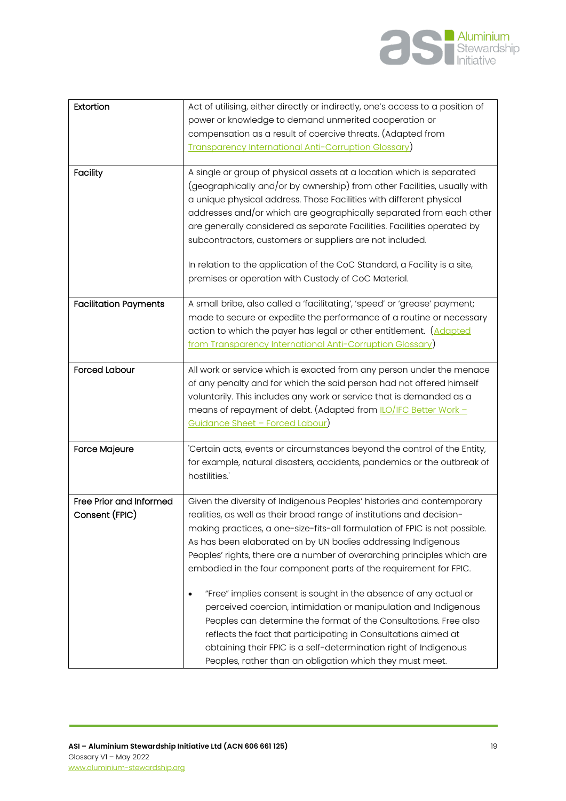

| Extortion                                 | Act of utilising, either directly or indirectly, one's access to a position of<br>power or knowledge to demand unmerited cooperation or<br>compensation as a result of coercive threats. (Adapted from                                                                                                                                                                                                                                                                                                                                                                                                                                                                                                                                                                                                                                                    |
|-------------------------------------------|-----------------------------------------------------------------------------------------------------------------------------------------------------------------------------------------------------------------------------------------------------------------------------------------------------------------------------------------------------------------------------------------------------------------------------------------------------------------------------------------------------------------------------------------------------------------------------------------------------------------------------------------------------------------------------------------------------------------------------------------------------------------------------------------------------------------------------------------------------------|
|                                           | <b>Transparency International Anti-Corruption Glossary)</b>                                                                                                                                                                                                                                                                                                                                                                                                                                                                                                                                                                                                                                                                                                                                                                                               |
| <b>Facility</b>                           | A single or group of physical assets at a location which is separated<br>(geographically and/or by ownership) from other Facilities, usually with<br>a unique physical address. Those Facilities with different physical<br>addresses and/or which are geographically separated from each other<br>are generally considered as separate Facilities. Facilities operated by<br>subcontractors, customers or suppliers are not included.<br>In relation to the application of the CoC Standard, a Facility is a site,<br>premises or operation with Custody of CoC Material.                                                                                                                                                                                                                                                                                |
| <b>Facilitation Payments</b>              | A small bribe, also called a 'facilitating', 'speed' or 'grease' payment;<br>made to secure or expedite the performance of a routine or necessary<br>action to which the payer has legal or other entitlement. (Adapted<br>from Transparency International Anti-Corruption Glossary)                                                                                                                                                                                                                                                                                                                                                                                                                                                                                                                                                                      |
| <b>Forced Labour</b>                      | All work or service which is exacted from any person under the menace<br>of any penalty and for which the said person had not offered himself<br>voluntarily. This includes any work or service that is demanded as a<br>means of repayment of debt. (Adapted from LO/IFC Better Work -<br><u> Guidance Sheet - Forced Labour)</u>                                                                                                                                                                                                                                                                                                                                                                                                                                                                                                                        |
| <b>Force Majeure</b>                      | 'Certain acts, events or circumstances beyond the control of the Entity,<br>for example, natural disasters, accidents, pandemics or the outbreak of<br>hostilities.'                                                                                                                                                                                                                                                                                                                                                                                                                                                                                                                                                                                                                                                                                      |
| Free Prior and Informed<br>Consent (FPIC) | Given the diversity of Indigenous Peoples' histories and contemporary<br>realities, as well as their broad range of institutions and decision-<br>making practices, a one-size-fits-all formulation of FPIC is not possible.<br>As has been elaborated on by UN bodies addressing Indigenous<br>Peoples' rights, there are a number of overarching principles which are<br>embodied in the four component parts of the requirement for FPIC.<br>"Free" implies consent is sought in the absence of any actual or<br>perceived coercion, intimidation or manipulation and Indigenous<br>Peoples can determine the format of the Consultations. Free also<br>reflects the fact that participating in Consultations aimed at<br>obtaining their FPIC is a self-determination right of Indigenous<br>Peoples, rather than an obligation which they must meet. |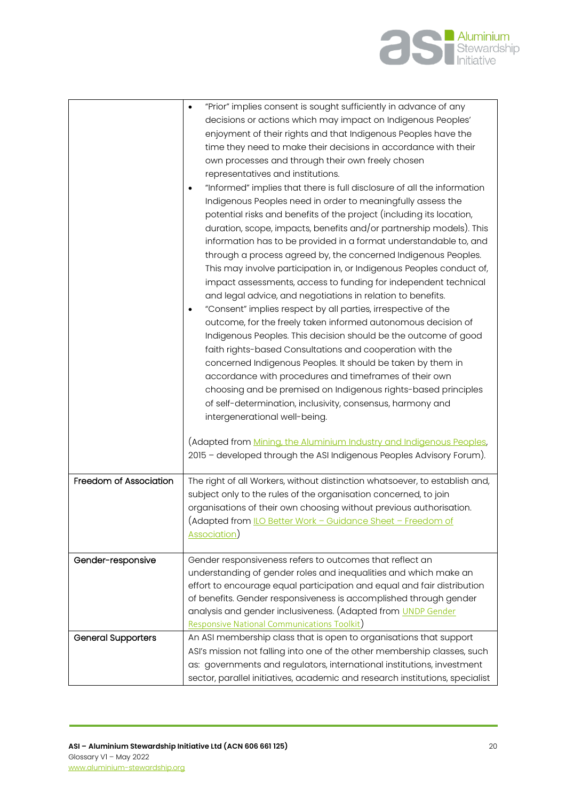

|                           | "Prior" implies consent is sought sufficiently in advance of any<br>$\bullet$<br>decisions or actions which may impact on Indigenous Peoples'<br>enjoyment of their rights and that Indigenous Peoples have the<br>time they need to make their decisions in accordance with their<br>own processes and through their own freely chosen<br>representatives and institutions.<br>"Informed" implies that there is full disclosure of all the information<br>Indigenous Peoples need in order to meaningfully assess the<br>potential risks and benefits of the project (including its location,<br>duration, scope, impacts, benefits and/or partnership models). This<br>information has to be provided in a format understandable to, and<br>through a process agreed by, the concerned Indigenous Peoples.<br>This may involve participation in, or Indigenous Peoples conduct of,<br>impact assessments, access to funding for independent technical<br>and legal advice, and negotiations in relation to benefits.<br>"Consent" implies respect by all parties, irrespective of the<br>$\bullet$<br>outcome, for the freely taken informed autonomous decision of<br>Indigenous Peoples. This decision should be the outcome of good<br>faith rights-based Consultations and cooperation with the<br>concerned Indigenous Peoples. It should be taken by them in<br>accordance with procedures and timeframes of their own<br>choosing and be premised on Indigenous rights-based principles<br>of self-determination, inclusivity, consensus, harmony and<br>intergenerational well-being. |
|---------------------------|-------------------------------------------------------------------------------------------------------------------------------------------------------------------------------------------------------------------------------------------------------------------------------------------------------------------------------------------------------------------------------------------------------------------------------------------------------------------------------------------------------------------------------------------------------------------------------------------------------------------------------------------------------------------------------------------------------------------------------------------------------------------------------------------------------------------------------------------------------------------------------------------------------------------------------------------------------------------------------------------------------------------------------------------------------------------------------------------------------------------------------------------------------------------------------------------------------------------------------------------------------------------------------------------------------------------------------------------------------------------------------------------------------------------------------------------------------------------------------------------------------------------------------------------------------------------------------------------------|
|                           | (Adapted from <u>Mining, the Aluminium Industry and Indigenous Peoples</u> ,<br>2015 - developed through the ASI Indigenous Peoples Advisory Forum).                                                                                                                                                                                                                                                                                                                                                                                                                                                                                                                                                                                                                                                                                                                                                                                                                                                                                                                                                                                                                                                                                                                                                                                                                                                                                                                                                                                                                                            |
| Freedom of Association    | The right of all Workers, without distinction whatsoever, to establish and,<br>subject only to the rules of the organisation concerned, to join<br>organisations of their own choosing without previous authorisation.<br>(Adapted from <u>ILO Better Work - Guidance Sheet - Freedom of</u><br>Association)                                                                                                                                                                                                                                                                                                                                                                                                                                                                                                                                                                                                                                                                                                                                                                                                                                                                                                                                                                                                                                                                                                                                                                                                                                                                                    |
| Gender-responsive         | Gender responsiveness refers to outcomes that reflect an<br>understanding of gender roles and inequalities and which make an<br>effort to encourage equal participation and equal and fair distribution<br>of benefits. Gender responsiveness is accomplished through gender<br>analysis and gender inclusiveness. (Adapted from UNDP Gender<br><b>Responsive National Communications Toolkit)</b>                                                                                                                                                                                                                                                                                                                                                                                                                                                                                                                                                                                                                                                                                                                                                                                                                                                                                                                                                                                                                                                                                                                                                                                              |
| <b>General Supporters</b> | An ASI membership class that is open to organisations that support<br>ASI's mission not falling into one of the other membership classes, such<br>as: governments and regulators, international institutions, investment<br>sector, parallel initiatives, academic and research institutions, specialist                                                                                                                                                                                                                                                                                                                                                                                                                                                                                                                                                                                                                                                                                                                                                                                                                                                                                                                                                                                                                                                                                                                                                                                                                                                                                        |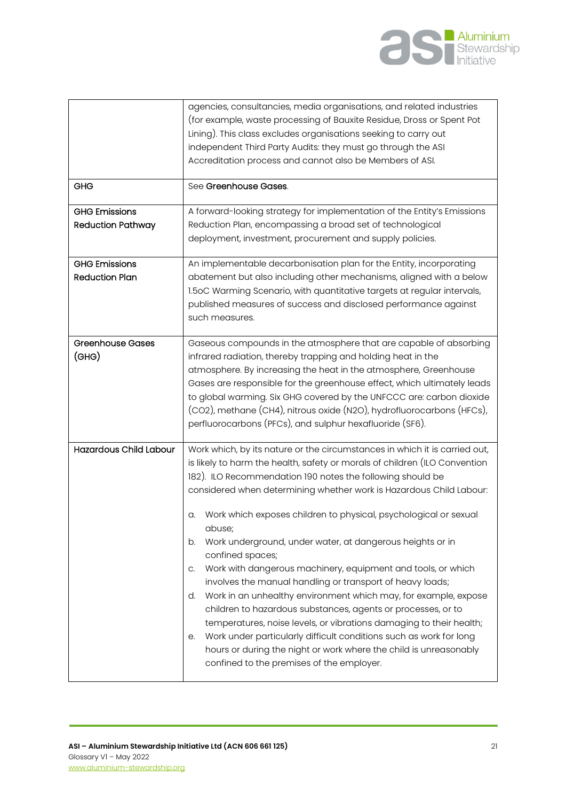

| GHG<br><b>GHG Emissions</b><br><b>Reduction Pathway</b> | agencies, consultancies, media organisations, and related industries<br>(for example, waste processing of Bauxite Residue, Dross or Spent Pot<br>Lining). This class excludes organisations seeking to carry out<br>independent Third Party Audits: they must go through the ASI<br>Accreditation process and cannot also be Members of ASI.<br>See Greenhouse Gases.<br>A forward-looking strategy for implementation of the Entity's Emissions<br>Reduction Plan, encompassing a broad set of technological<br>deployment, investment, procurement and supply policies.                                                                                                                                                                                                                                                                                                                                                                                                                                                 |
|---------------------------------------------------------|---------------------------------------------------------------------------------------------------------------------------------------------------------------------------------------------------------------------------------------------------------------------------------------------------------------------------------------------------------------------------------------------------------------------------------------------------------------------------------------------------------------------------------------------------------------------------------------------------------------------------------------------------------------------------------------------------------------------------------------------------------------------------------------------------------------------------------------------------------------------------------------------------------------------------------------------------------------------------------------------------------------------------|
| <b>GHG Emissions</b><br><b>Reduction Plan</b>           | An implementable decarbonisation plan for the Entity, incorporating<br>abatement but also including other mechanisms, aligned with a below<br>1.5oC Warming Scenario, with quantitative targets at regular intervals,<br>published measures of success and disclosed performance against<br>such measures.                                                                                                                                                                                                                                                                                                                                                                                                                                                                                                                                                                                                                                                                                                                |
| <b>Greenhouse Gases</b><br>$($ GHG $)$                  | Gaseous compounds in the atmosphere that are capable of absorbing<br>infrared radiation, thereby trapping and holding heat in the<br>atmosphere. By increasing the heat in the atmosphere, Greenhouse<br>Gases are responsible for the greenhouse effect, which ultimately leads<br>to global warming. Six GHG covered by the UNFCCC are: carbon dioxide<br>(CO2), methane (CH4), nitrous oxide (N2O), hydrofluorocarbons (HFCs),<br>perfluorocarbons (PFCs), and sulphur hexafluoride (SF6).                                                                                                                                                                                                                                                                                                                                                                                                                                                                                                                             |
| <b>Hazardous Child Labour</b>                           | Work which, by its nature or the circumstances in which it is carried out,<br>is likely to harm the health, safety or morals of children (ILO Convention<br>182). ILO Recommendation 190 notes the following should be<br>considered when determining whether work is Hazardous Child Labour:<br>Work which exposes children to physical, psychological or sexual<br>a.<br>abuse;<br>Work underground, under water, at dangerous heights or in<br>b.<br>confined spaces;<br>Work with dangerous machinery, equipment and tools, or which<br>C.<br>involves the manual handling or transport of heavy loads;<br>Work in an unhealthy environment which may, for example, expose<br>d.<br>children to hazardous substances, agents or processes, or to<br>temperatures, noise levels, or vibrations damaging to their health;<br>Work under particularly difficult conditions such as work for long<br>е.<br>hours or during the night or work where the child is unreasonably<br>confined to the premises of the employer. |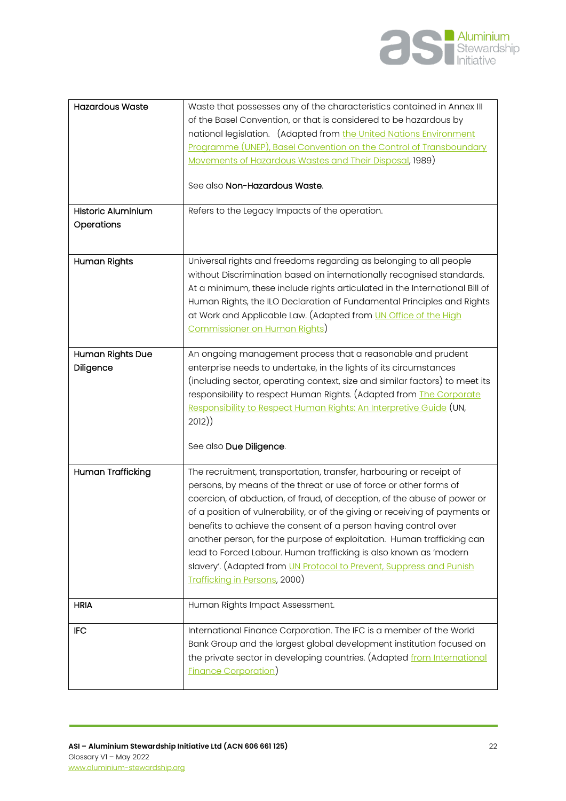

| <b>Hazardous Waste</b>           | Waste that possesses any of the characteristics contained in Annex III<br>of the Basel Convention, or that is considered to be hazardous by<br>national legislation. (Adapted from the United Nations Environment<br>Programme (UNEP), Basel Convention on the Control of Transboundary<br>Movements of Hazardous Wastes and Their Disposal, 1989)<br>See also Non-Hazardous Waste.                                                                                                                                                                                                                                                   |
|----------------------------------|---------------------------------------------------------------------------------------------------------------------------------------------------------------------------------------------------------------------------------------------------------------------------------------------------------------------------------------------------------------------------------------------------------------------------------------------------------------------------------------------------------------------------------------------------------------------------------------------------------------------------------------|
|                                  |                                                                                                                                                                                                                                                                                                                                                                                                                                                                                                                                                                                                                                       |
| Historic Aluminium<br>Operations | Refers to the Legacy Impacts of the operation.                                                                                                                                                                                                                                                                                                                                                                                                                                                                                                                                                                                        |
| Human Rights                     | Universal rights and freedoms regarding as belonging to all people<br>without Discrimination based on internationally recognised standards.<br>At a minimum, these include rights articulated in the International Bill of<br>Human Rights, the ILO Declaration of Fundamental Principles and Rights<br>at Work and Applicable Law. (Adapted from <i>UN Office of the High</i><br>Commissioner on Human Rights)                                                                                                                                                                                                                       |
| Human Rights Due<br>Diligence    | An ongoing management process that a reasonable and prudent<br>enterprise needs to undertake, in the lights of its circumstances<br>(including sector, operating context, size and similar factors) to meet its<br>responsibility to respect Human Rights. (Adapted from The Corporate<br>Responsibility to Respect Human Rights: An Interpretive Guide (UN,<br>2012)<br>See also Due Diligence.                                                                                                                                                                                                                                      |
| <b>Human Trafficking</b>         | The recruitment, transportation, transfer, harbouring or receipt of<br>persons, by means of the threat or use of force or other forms of<br>coercion, of abduction, of fraud, of deception, of the abuse of power or<br>of a position of vulnerability, or of the giving or receiving of payments or<br>benefits to achieve the consent of a person having control over<br>another person, for the purpose of exploitation. Human trafficking can<br>lead to Forced Labour. Human trafficking is also known as 'modern<br>slavery'. (Adapted from UN Protocol to Prevent, Suppress and Punish<br><b>Trafficking in Persons, 2000)</b> |
| <b>HRIA</b>                      | Human Rights Impact Assessment.                                                                                                                                                                                                                                                                                                                                                                                                                                                                                                                                                                                                       |
| <b>IFC</b>                       | International Finance Corporation. The IFC is a member of the World<br>Bank Group and the largest global development institution focused on<br>the private sector in developing countries. (Adapted from International<br><b>Finance Corporation</b> )                                                                                                                                                                                                                                                                                                                                                                                |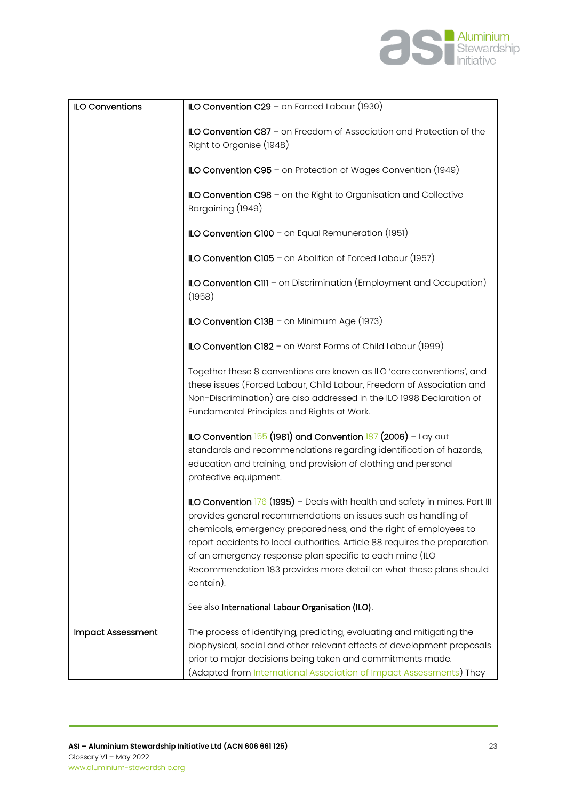

| <b>ILO Conventions</b>   | ILO Convention $C29$ – on Forced Labour (1930)                                                                                                                                                                                                                                                                                                                                                                                                 |
|--------------------------|------------------------------------------------------------------------------------------------------------------------------------------------------------------------------------------------------------------------------------------------------------------------------------------------------------------------------------------------------------------------------------------------------------------------------------------------|
|                          | ILO Convention C87 - on Freedom of Association and Protection of the<br>Right to Organise (1948)                                                                                                                                                                                                                                                                                                                                               |
|                          | ILO Convention $C95$ – on Protection of Wages Convention (1949)                                                                                                                                                                                                                                                                                                                                                                                |
|                          | ILO Convention C98 - on the Right to Organisation and Collective<br>Bargaining (1949)                                                                                                                                                                                                                                                                                                                                                          |
|                          | ILO Convention C100 - on Equal Remuneration (1951)                                                                                                                                                                                                                                                                                                                                                                                             |
|                          | ILO Convention $C105$ - on Abolition of Forced Labour (1957)                                                                                                                                                                                                                                                                                                                                                                                   |
|                          | ILO Convention CIII - on Discrimination (Employment and Occupation)<br>(1958)                                                                                                                                                                                                                                                                                                                                                                  |
|                          | ILO Convention C138 - on Minimum Age (1973)                                                                                                                                                                                                                                                                                                                                                                                                    |
|                          | ILO Convention C182 - on Worst Forms of Child Labour (1999)                                                                                                                                                                                                                                                                                                                                                                                    |
|                          | Together these 8 conventions are known as ILO 'core conventions', and<br>these issues (Forced Labour, Child Labour, Freedom of Association and<br>Non-Discrimination) are also addressed in the ILO 1998 Declaration of<br>Fundamental Principles and Rights at Work.                                                                                                                                                                          |
|                          | ILO Convention 155 (1981) and Convention 187 (2006) - Lay out<br>standards and recommendations regarding identification of hazards,<br>education and training, and provision of clothing and personal<br>protective equipment.                                                                                                                                                                                                                 |
|                          | ILO Convention 176 (1995) - Deals with health and safety in mines. Part III<br>provides general recommendations on issues such as handling of<br>chemicals, emergency preparedness, and the right of employees to<br>report accidents to local authorities. Article 88 requires the preparation<br>of an emergency response plan specific to each mine (ILO<br>Recommendation 183 provides more detail on what these plans should<br>contain). |
|                          | See also International Labour Organisation (ILO).                                                                                                                                                                                                                                                                                                                                                                                              |
| <b>Impact Assessment</b> | The process of identifying, predicting, evaluating and mitigating the<br>biophysical, social and other relevant effects of development proposals<br>prior to major decisions being taken and commitments made.<br>(Adapted from <u>International Association of Impact Assessments</u> ) They                                                                                                                                                  |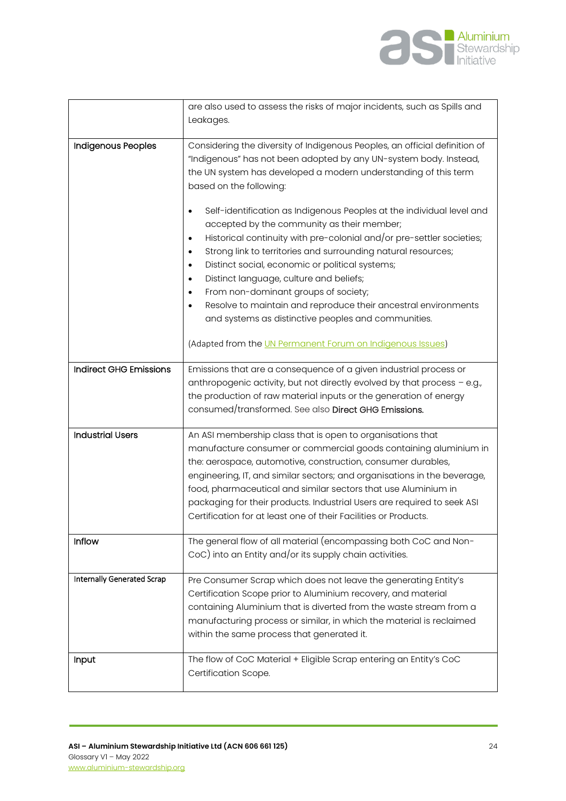

|                                   | are also used to assess the risks of major incidents, such as Spills and                                                                                                                                                                                                                                                                                                                                                                                                                                                                                                                                                                                                                                                                                                                                                                                         |
|-----------------------------------|------------------------------------------------------------------------------------------------------------------------------------------------------------------------------------------------------------------------------------------------------------------------------------------------------------------------------------------------------------------------------------------------------------------------------------------------------------------------------------------------------------------------------------------------------------------------------------------------------------------------------------------------------------------------------------------------------------------------------------------------------------------------------------------------------------------------------------------------------------------|
|                                   | Leakages.                                                                                                                                                                                                                                                                                                                                                                                                                                                                                                                                                                                                                                                                                                                                                                                                                                                        |
|                                   |                                                                                                                                                                                                                                                                                                                                                                                                                                                                                                                                                                                                                                                                                                                                                                                                                                                                  |
| <b>Indigenous Peoples</b>         | Considering the diversity of Indigenous Peoples, an official definition of<br>"Indigenous" has not been adopted by any UN-system body. Instead,<br>the UN system has developed a modern understanding of this term<br>based on the following:<br>Self-identification as Indigenous Peoples at the individual level and<br>$\bullet$<br>accepted by the community as their member;<br>Historical continuity with pre-colonial and/or pre-settler societies;<br>$\bullet$<br>Strong link to territories and surrounding natural resources;<br>$\bullet$<br>Distinct social, economic or political systems;<br>$\bullet$<br>Distinct language, culture and beliefs;<br>$\bullet$<br>From non-dominant groups of society;<br>٠<br>Resolve to maintain and reproduce their ancestral environments<br>$\bullet$<br>and systems as distinctive peoples and communities. |
|                                   | (Adapted from the UN Permanent Forum on Indigenous Issues)                                                                                                                                                                                                                                                                                                                                                                                                                                                                                                                                                                                                                                                                                                                                                                                                       |
| <b>Indirect GHG Emissions</b>     | Emissions that are a consequence of a given industrial process or<br>anthropogenic activity, but not directly evolved by that process - e.g.,<br>the production of raw material inputs or the generation of energy<br>consumed/transformed. See also Direct GHG Emissions.                                                                                                                                                                                                                                                                                                                                                                                                                                                                                                                                                                                       |
| <b>Industrial Users</b>           | An ASI membership class that is open to organisations that<br>manufacture consumer or commercial goods containing aluminium in<br>the: aerospace, automotive, construction, consumer durables,<br>engineering, IT, and similar sectors; and organisations in the beverage,<br>food, pharmaceutical and similar sectors that use Aluminium in<br>packaging for their products. Industrial Users are required to seek ASI<br>Certification for at least one of their Facilities or Products.                                                                                                                                                                                                                                                                                                                                                                       |
| <b>Inflow</b>                     | The general flow of all material (encompassing both CoC and Non-<br>CoC) into an Entity and/or its supply chain activities.                                                                                                                                                                                                                                                                                                                                                                                                                                                                                                                                                                                                                                                                                                                                      |
| <b>Internally Generated Scrap</b> | Pre Consumer Scrap which does not leave the generating Entity's<br>Certification Scope prior to Aluminium recovery, and material<br>containing Aluminium that is diverted from the waste stream from a<br>manufacturing process or similar, in which the material is reclaimed<br>within the same process that generated it.                                                                                                                                                                                                                                                                                                                                                                                                                                                                                                                                     |
| Input                             | The flow of CoC Material + Eligible Scrap entering an Entity's CoC<br>Certification Scope.                                                                                                                                                                                                                                                                                                                                                                                                                                                                                                                                                                                                                                                                                                                                                                       |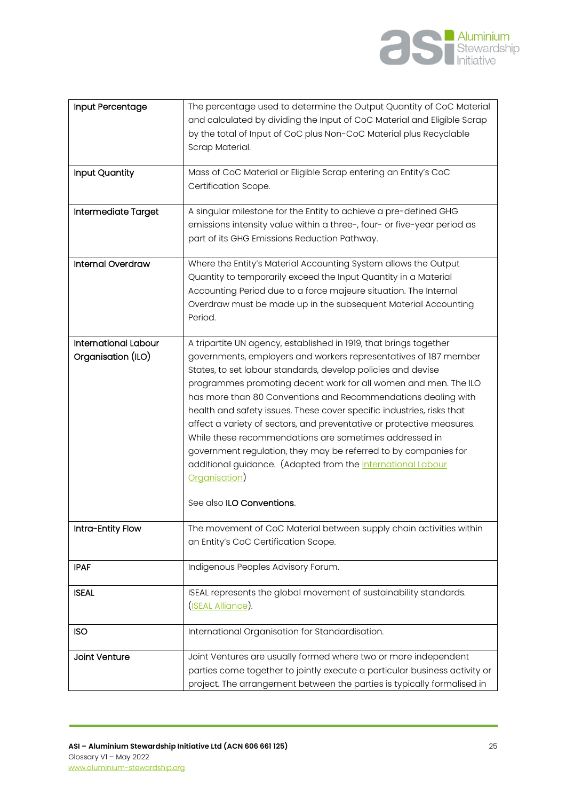

| Input Percentage                                  | The percentage used to determine the Output Quantity of CoC Material<br>and calculated by dividing the Input of CoC Material and Eligible Scrap<br>by the total of Input of CoC plus Non-CoC Material plus Recyclable<br>Scrap Material.                                                                                                                                                                                                                                                                                                                                                                                                                                                                                                      |
|---------------------------------------------------|-----------------------------------------------------------------------------------------------------------------------------------------------------------------------------------------------------------------------------------------------------------------------------------------------------------------------------------------------------------------------------------------------------------------------------------------------------------------------------------------------------------------------------------------------------------------------------------------------------------------------------------------------------------------------------------------------------------------------------------------------|
| Input Quantity                                    | Mass of CoC Material or Eligible Scrap entering an Entity's CoC<br>Certification Scope.                                                                                                                                                                                                                                                                                                                                                                                                                                                                                                                                                                                                                                                       |
| Intermediate Target                               | A singular milestone for the Entity to achieve a pre-defined GHG<br>emissions intensity value within a three-, four- or five-year period as<br>part of its GHG Emissions Reduction Pathway.                                                                                                                                                                                                                                                                                                                                                                                                                                                                                                                                                   |
| Internal Overdraw                                 | Where the Entity's Material Accounting System allows the Output<br>Quantity to temporarily exceed the Input Quantity in a Material<br>Accounting Period due to a force majeure situation. The Internal<br>Overdraw must be made up in the subsequent Material Accounting<br>Period.                                                                                                                                                                                                                                                                                                                                                                                                                                                           |
| <b>International Labour</b><br>Organisation (ILO) | A tripartite UN agency, established in 1919, that brings together<br>governments, employers and workers representatives of 187 member<br>States, to set labour standards, develop policies and devise<br>programmes promoting decent work for all women and men. The ILO<br>has more than 80 Conventions and Recommendations dealing with<br>health and safety issues. These cover specific industries, risks that<br>affect a variety of sectors, and preventative or protective measures.<br>While these recommendations are sometimes addressed in<br>government regulation, they may be referred to by companies for<br>additional guidance. (Adapted from the International Labour<br>Organisation)<br>See also <b>ILO Conventions</b> . |
| Intra-Entity Flow                                 | The movement of CoC Material between supply chain activities within<br>an Entity's CoC Certification Scope.                                                                                                                                                                                                                                                                                                                                                                                                                                                                                                                                                                                                                                   |
| <b>IPAF</b>                                       | Indigenous Peoples Advisory Forum.                                                                                                                                                                                                                                                                                                                                                                                                                                                                                                                                                                                                                                                                                                            |
| <b>ISEAL</b>                                      | ISEAL represents the global movement of sustainability standards.<br>(ISEAL Alliance).                                                                                                                                                                                                                                                                                                                                                                                                                                                                                                                                                                                                                                                        |
| <b>ISO</b>                                        | International Organisation for Standardisation.                                                                                                                                                                                                                                                                                                                                                                                                                                                                                                                                                                                                                                                                                               |
| Joint Venture                                     | Joint Ventures are usually formed where two or more independent<br>parties come together to jointly execute a particular business activity or<br>project. The arrangement between the parties is typically formalised in                                                                                                                                                                                                                                                                                                                                                                                                                                                                                                                      |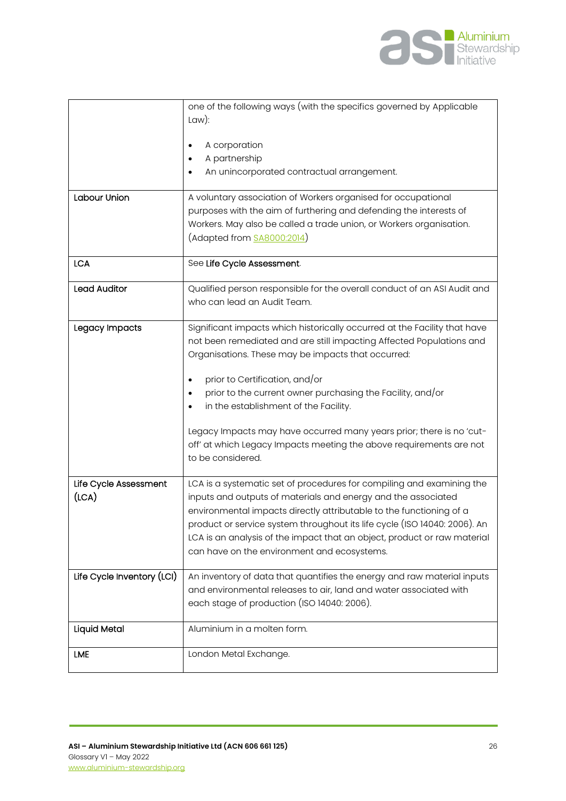

| Labour Union                   | one of the following ways (with the specifics governed by Applicable<br>Law):<br>A corporation<br>A partnership<br>An unincorporated contractual arrangement.<br>A voluntary association of Workers organised for occupational<br>purposes with the aim of furthering and defending the interests of<br>Workers. May also be called a trade union, or Workers organisation.<br>(Adapted from SA8000:2014)                                                                                                            |
|--------------------------------|----------------------------------------------------------------------------------------------------------------------------------------------------------------------------------------------------------------------------------------------------------------------------------------------------------------------------------------------------------------------------------------------------------------------------------------------------------------------------------------------------------------------|
| <b>LCA</b>                     | See Life Cycle Assessment.                                                                                                                                                                                                                                                                                                                                                                                                                                                                                           |
| <b>Lead Auditor</b>            | Qualified person responsible for the overall conduct of an ASI Audit and<br>who can lead an Audit Team.                                                                                                                                                                                                                                                                                                                                                                                                              |
| Legacy Impacts                 | Significant impacts which historically occurred at the Facility that have<br>not been remediated and are still impacting Affected Populations and<br>Organisations. These may be impacts that occurred:<br>prior to Certification, and/or<br>prior to the current owner purchasing the Facility, and/or<br>in the establishment of the Facility.<br>Legacy Impacts may have occurred many years prior; there is no 'cut-<br>off' at which Legacy Impacts meeting the above requirements are not<br>to be considered. |
| Life Cycle Assessment<br>(ICA) | LCA is a systematic set of procedures for compiling and examining the<br>inputs and outputs of materials and energy and the associated<br>environmental impacts directly attributable to the functioning of a<br>product or service system throughout its life cycle (ISO 14040: 2006). An<br>LCA is an analysis of the impact that an object, product or raw material<br>can have on the environment and ecosystems.                                                                                                |
| Life Cycle Inventory (LCI)     | An inventory of data that quantifies the energy and raw material inputs<br>and environmental releases to air, land and water associated with<br>each stage of production (ISO 14040: 2006).                                                                                                                                                                                                                                                                                                                          |
| <b>Liquid Metal</b>            | Aluminium in a molten form.                                                                                                                                                                                                                                                                                                                                                                                                                                                                                          |
| <b>LME</b>                     | London Metal Exchange.                                                                                                                                                                                                                                                                                                                                                                                                                                                                                               |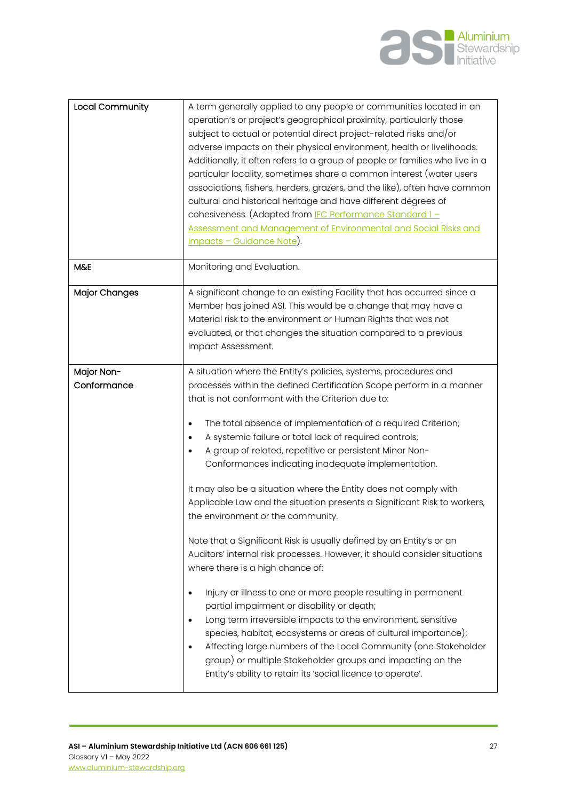

| Local Community           | A term generally applied to any people or communities located in an<br>operation's or project's geographical proximity, particularly those<br>subject to actual or potential direct project-related risks and/or<br>adverse impacts on their physical environment, health or livelihoods.<br>Additionally, it often refers to a group of people or families who live in a<br>particular locality, sometimes share a common interest (water users<br>associations, fishers, herders, grazers, and the like), often have common<br>cultural and historical heritage and have different degrees of<br>cohesiveness. (Adapted from IFC Performance Standard 1-<br>Assessment and Management of Environmental and Social Risks and<br><u> Impacts - Guidance Note</u> ). |
|---------------------------|---------------------------------------------------------------------------------------------------------------------------------------------------------------------------------------------------------------------------------------------------------------------------------------------------------------------------------------------------------------------------------------------------------------------------------------------------------------------------------------------------------------------------------------------------------------------------------------------------------------------------------------------------------------------------------------------------------------------------------------------------------------------|
| <b>M&amp;E</b>            | Monitoring and Evaluation.                                                                                                                                                                                                                                                                                                                                                                                                                                                                                                                                                                                                                                                                                                                                          |
| <b>Major Changes</b>      | A significant change to an existing Facility that has occurred since a<br>Member has joined ASI. This would be a change that may have a<br>Material risk to the environment or Human Rights that was not<br>evaluated, or that changes the situation compared to a previous<br>Impact Assessment.                                                                                                                                                                                                                                                                                                                                                                                                                                                                   |
| Major Non-<br>Conformance | A situation where the Entity's policies, systems, procedures and<br>processes within the defined Certification Scope perform in a manner<br>that is not conformant with the Criterion due to:<br>The total absence of implementation of a required Criterion;<br>$\bullet$<br>A systemic failure or total lack of required controls;<br>$\bullet$                                                                                                                                                                                                                                                                                                                                                                                                                   |
|                           | A group of related, repetitive or persistent Minor Non-<br>Conformances indicating inadequate implementation.                                                                                                                                                                                                                                                                                                                                                                                                                                                                                                                                                                                                                                                       |
|                           | It may also be a situation where the Entity does not comply with<br>Applicable Law and the situation presents a Significant Risk to workers,<br>the environment or the community.                                                                                                                                                                                                                                                                                                                                                                                                                                                                                                                                                                                   |
|                           | Note that a Significant Risk is usually defined by an Entity's or an<br>Auditors' internal risk processes. However, it should consider situations<br>where there is a high chance of:                                                                                                                                                                                                                                                                                                                                                                                                                                                                                                                                                                               |
|                           | Injury or illness to one or more people resulting in permanent<br>partial impairment or disability or death;<br>Long term irreversible impacts to the environment, sensitive<br>$\bullet$<br>species, habitat, ecosystems or areas of cultural importance);<br>Affecting large numbers of the Local Community (one Stakeholder<br>$\bullet$<br>group) or multiple Stakeholder groups and impacting on the<br>Entity's ability to retain its 'social licence to operate'.                                                                                                                                                                                                                                                                                            |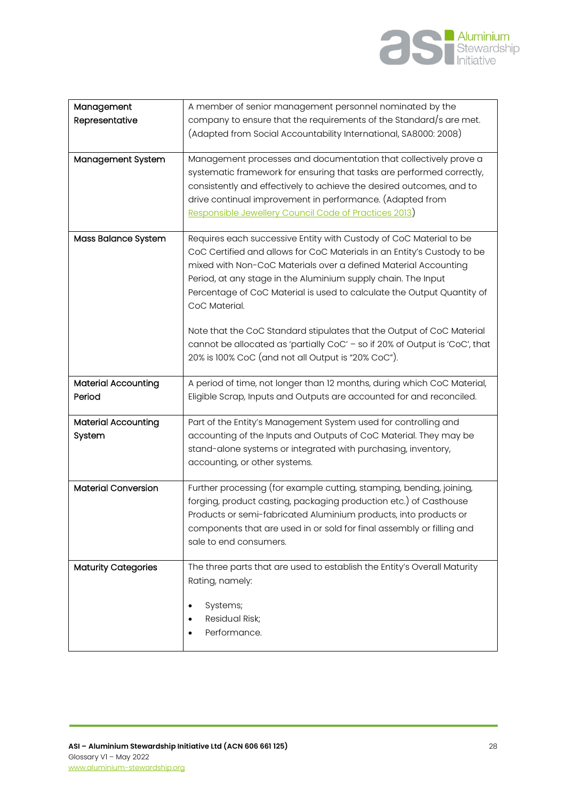

| Management                 | A member of senior management personnel nominated by the                    |
|----------------------------|-----------------------------------------------------------------------------|
| Representative             | company to ensure that the requirements of the Standard/s are met.          |
|                            | (Adapted from Social Accountability International, SA8000: 2008)            |
|                            |                                                                             |
| Management System          | Management processes and documentation that collectively prove a            |
|                            | systematic framework for ensuring that tasks are performed correctly,       |
|                            |                                                                             |
|                            | consistently and effectively to achieve the desired outcomes, and to        |
|                            | drive continual improvement in performance. (Adapted from                   |
|                            | Responsible Jewellery Council Code of Practices 2013)                       |
|                            |                                                                             |
| Mass Balance System        | Requires each successive Entity with Custody of CoC Material to be          |
|                            | CoC Certified and allows for CoC Materials in an Entity's Custody to be     |
|                            | mixed with Non-CoC Materials over a defined Material Accounting             |
|                            | Period, at any stage in the Aluminium supply chain. The Input               |
|                            | Percentage of CoC Material is used to calculate the Output Quantity of      |
|                            | CoC Material.                                                               |
|                            |                                                                             |
|                            | Note that the CoC Standard stipulates that the Output of CoC Material       |
|                            |                                                                             |
|                            | cannot be allocated as 'partially CoC' - so if 20% of Output is 'CoC', that |
|                            | 20% is 100% CoC (and not all Output is "20% CoC").                          |
|                            |                                                                             |
|                            | A period of time, not longer than 12 months, during which CoC Material,     |
| <b>Material Accounting</b> |                                                                             |
| Period                     | Eligible Scrap, Inputs and Outputs are accounted for and reconciled.        |
|                            |                                                                             |
| <b>Material Accounting</b> | Part of the Entity's Management System used for controlling and             |
| System                     | accounting of the Inputs and Outputs of CoC Material. They may be           |
|                            | stand-alone systems or integrated with purchasing, inventory,               |
|                            |                                                                             |
|                            | accounting, or other systems.                                               |
| <b>Material Conversion</b> | Further processing (for example cutting, stamping, bending, joining,        |
|                            |                                                                             |
|                            | forging, product casting, packaging production etc.) of Casthouse           |
|                            | Products or semi-fabricated Aluminium products, into products or            |
|                            | components that are used in or sold for final assembly or filling and       |
|                            | sale to end consumers.                                                      |
|                            |                                                                             |
| <b>Maturity Categories</b> | The three parts that are used to establish the Entity's Overall Maturity    |
|                            | Rating, namely:                                                             |
|                            |                                                                             |
|                            | Systems;                                                                    |
|                            | Residual Risk;                                                              |
|                            | Performance.                                                                |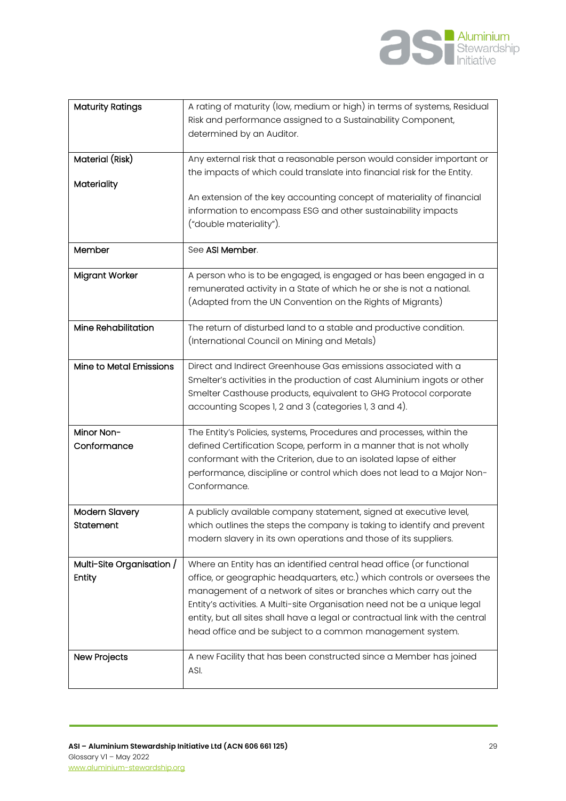

| <b>Maturity Ratings</b>             | A rating of maturity (low, medium or high) in terms of systems, Residual<br>Risk and performance assigned to a Sustainability Component,<br>determined by an Auditor.                                                                                                                                                                                                                                                                           |
|-------------------------------------|-------------------------------------------------------------------------------------------------------------------------------------------------------------------------------------------------------------------------------------------------------------------------------------------------------------------------------------------------------------------------------------------------------------------------------------------------|
| Material (Risk)<br>Materiality      | Any external risk that a reasonable person would consider important or<br>the impacts of which could translate into financial risk for the Entity.<br>An extension of the key accounting concept of materiality of financial<br>information to encompass ESG and other sustainability impacts<br>("double materiality").                                                                                                                        |
| Member                              | See ASI Member.                                                                                                                                                                                                                                                                                                                                                                                                                                 |
| <b>Migrant Worker</b>               | A person who is to be engaged, is engaged or has been engaged in a<br>remunerated activity in a State of which he or she is not a national.<br>(Adapted from the UN Convention on the Rights of Migrants)                                                                                                                                                                                                                                       |
| <b>Mine Rehabilitation</b>          | The return of disturbed land to a stable and productive condition.<br>(International Council on Mining and Metals)                                                                                                                                                                                                                                                                                                                              |
| Mine to Metal Emissions             | Direct and Indirect Greenhouse Gas emissions associated with a<br>Smelter's activities in the production of cast Aluminium ingots or other<br>Smelter Casthouse products, equivalent to GHG Protocol corporate<br>accounting Scopes 1, 2 and 3 (categories 1, 3 and 4).                                                                                                                                                                         |
| Minor Non-<br>Conformance           | The Entity's Policies, systems, Procedures and processes, within the<br>defined Certification Scope, perform in a manner that is not wholly<br>conformant with the Criterion, due to an isolated lapse of either<br>performance, discipline or control which does not lead to a Major Non-<br>Conformance.                                                                                                                                      |
| <b>Modern Slavery</b><br>Statement  | A publicly available company statement, signed at executive level,<br>which outlines the steps the company is taking to identify and prevent<br>modern slavery in its own operations and those of its suppliers.                                                                                                                                                                                                                                |
| Multi-Site Organisation /<br>Entity | Where an Entity has an identified central head office (or functional<br>office, or geographic headquarters, etc.) which controls or oversees the<br>management of a network of sites or branches which carry out the<br>Entity's activities. A Multi-site Organisation need not be a unique legal<br>entity, but all sites shall have a legal or contractual link with the central<br>head office and be subject to a common management system. |
| <b>New Projects</b>                 | A new Facility that has been constructed since a Member has joined<br>ASI.                                                                                                                                                                                                                                                                                                                                                                      |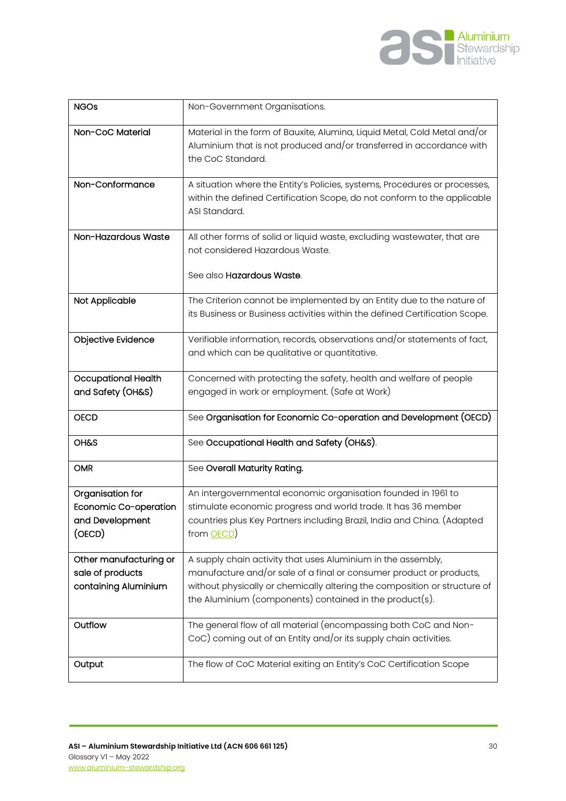

| <b>NGOs</b>                                                            | Non-Government Organisations.                                                                                                                                                                                                                                               |
|------------------------------------------------------------------------|-----------------------------------------------------------------------------------------------------------------------------------------------------------------------------------------------------------------------------------------------------------------------------|
| Non-CoC Material                                                       | Material in the form of Bauxite, Alumina, Liquid Metal, Cold Metal and/or<br>Aluminium that is not produced and/or transferred in accordance with<br>the CoC Standard.                                                                                                      |
| Non-Conformance                                                        | A situation where the Entity's Policies, systems, Procedures or processes,<br>within the defined Certification Scope, do not conform to the applicable<br>ASI Standard.                                                                                                     |
| Non-Hazardous Waste                                                    | All other forms of solid or liquid waste, excluding wastewater, that are<br>not considered Hazardous Waste.<br>See also Hazardous Waste.                                                                                                                                    |
| Not Applicable                                                         | The Criterion cannot be implemented by an Entity due to the nature of<br>its Business or Business activities within the defined Certification Scope.                                                                                                                        |
| Objective Evidence                                                     | Verifiable information, records, observations and/or statements of fact,<br>and which can be qualitative or quantitative.                                                                                                                                                   |
| <b>Occupational Health</b><br>and Safety (OH&S)                        | Concerned with protecting the safety, health and welfare of people<br>engaged in work or employment. (Safe at Work)                                                                                                                                                         |
| <b>OECD</b>                                                            | See Organisation for Economic Co-operation and Development (OECD)                                                                                                                                                                                                           |
| <b>OH&amp;S</b>                                                        | See Occupational Health and Safety (OH&S).                                                                                                                                                                                                                                  |
| <b>OMR</b>                                                             | See Overall Maturity Rating.                                                                                                                                                                                                                                                |
| Organisation for<br>Economic Co-operation<br>and Development<br>(OECD) | An intergovernmental economic organisation founded in 1961 to<br>stimulate economic progress and world trade. It has 36 member<br>countries plus Key Partners including Brazil, India and China. (Adapted<br>from <b>OECD</b>                                               |
| Other manufacturing or<br>sale of products<br>containing Aluminium     | A supply chain activity that uses Aluminium in the assembly,<br>manufacture and/or sale of a final or consumer product or products,<br>without physically or chemically altering the composition or structure of<br>the Aluminium (components) contained in the product(s). |
| Outflow                                                                | The general flow of all material (encompassing both CoC and Non-<br>CoC) coming out of an Entity and/or its supply chain activities.                                                                                                                                        |
| Output                                                                 | The flow of CoC Material exiting an Entity's CoC Certification Scope                                                                                                                                                                                                        |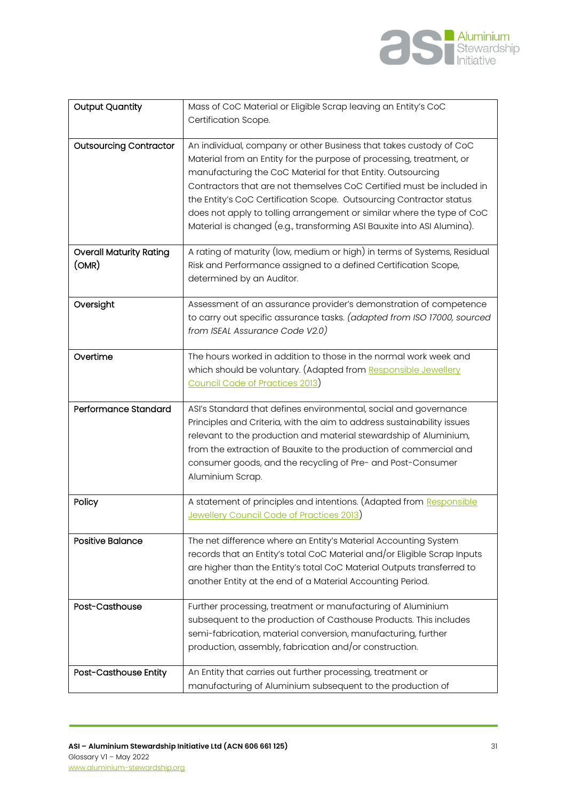

| <b>Output Quantity</b>                  | Mass of CoC Material or Eligible Scrap leaving an Entity's CoC                                                                                                                                                                                                                                                                                                                                                                                                                                                |
|-----------------------------------------|---------------------------------------------------------------------------------------------------------------------------------------------------------------------------------------------------------------------------------------------------------------------------------------------------------------------------------------------------------------------------------------------------------------------------------------------------------------------------------------------------------------|
|                                         | Certification Scope.                                                                                                                                                                                                                                                                                                                                                                                                                                                                                          |
| <b>Outsourcing Contractor</b>           | An individual, company or other Business that takes custody of CoC<br>Material from an Entity for the purpose of processing, treatment, or<br>manufacturing the CoC Material for that Entity. Outsourcing<br>Contractors that are not themselves CoC Certified must be included in<br>the Entity's CoC Certification Scope. Outsourcing Contractor status<br>does not apply to tolling arrangement or similar where the type of CoC<br>Material is changed (e.g., transforming ASI Bauxite into ASI Alumina). |
| <b>Overall Maturity Rating</b><br>(OMR) | A rating of maturity (low, medium or high) in terms of Systems, Residual<br>Risk and Performance assigned to a defined Certification Scope,<br>determined by an Auditor.                                                                                                                                                                                                                                                                                                                                      |
| Oversight                               | Assessment of an assurance provider's demonstration of competence<br>to carry out specific assurance tasks. (adapted from ISO 17000, sourced<br>from ISEAL Assurance Code V2.0)                                                                                                                                                                                                                                                                                                                               |
| Overtime                                | The hours worked in addition to those in the normal work week and<br>which should be voluntary. (Adapted from Responsible Jewellery<br>Council Code of Practices 2013)                                                                                                                                                                                                                                                                                                                                        |
| Performance Standard                    | ASI's Standard that defines environmental, social and governance<br>Principles and Criteria, with the aim to address sustainability issues<br>relevant to the production and material stewardship of Aluminium,<br>from the extraction of Bauxite to the production of commercial and<br>consumer goods, and the recycling of Pre- and Post-Consumer<br>Aluminium Scrap.                                                                                                                                      |
| Policy                                  | A statement of principles and intentions. (Adapted from Responsible<br><b>Jewellery Council Code of Practices 2013</b>                                                                                                                                                                                                                                                                                                                                                                                        |
| <b>Positive Balance</b>                 | The net difference where an Entity's Material Accounting System<br>records that an Entity's total CoC Material and/or Eligible Scrap Inputs<br>are higher than the Entity's total CoC Material Outputs transferred to<br>another Entity at the end of a Material Accounting Period.                                                                                                                                                                                                                           |
| Post-Casthouse                          | Further processing, treatment or manufacturing of Aluminium<br>subsequent to the production of Casthouse Products. This includes<br>semi-fabrication, material conversion, manufacturing, further<br>production, assembly, fabrication and/or construction.                                                                                                                                                                                                                                                   |
| Post-Casthouse Entity                   | An Entity that carries out further processing, treatment or<br>manufacturing of Aluminium subsequent to the production of                                                                                                                                                                                                                                                                                                                                                                                     |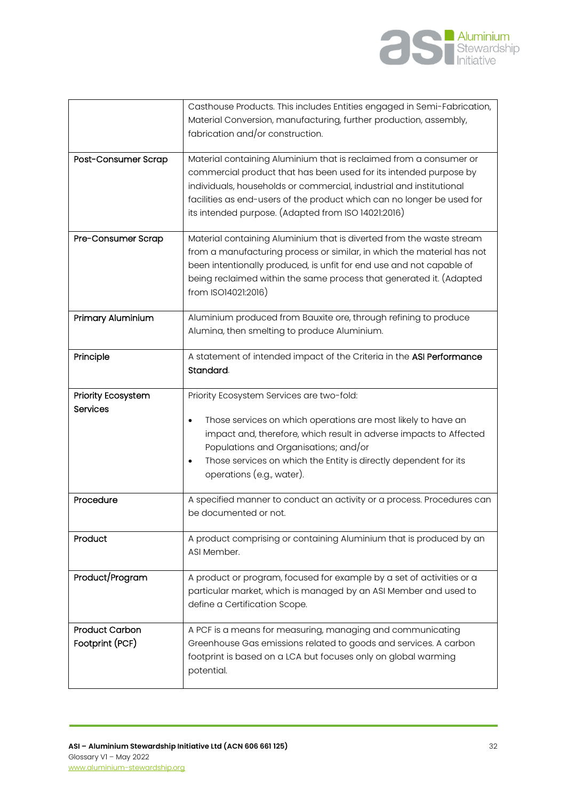

|                                          | Casthouse Products. This includes Entities engaged in Semi-Fabrication,<br>Material Conversion, manufacturing, further production, assembly,<br>fabrication and/or construction.                                                                                                                                                                     |
|------------------------------------------|------------------------------------------------------------------------------------------------------------------------------------------------------------------------------------------------------------------------------------------------------------------------------------------------------------------------------------------------------|
| Post-Consumer Scrap                      | Material containing Aluminium that is reclaimed from a consumer or<br>commercial product that has been used for its intended purpose by<br>individuals, households or commercial, industrial and institutional<br>facilities as end-users of the product which can no longer be used for<br>its intended purpose. (Adapted from ISO 14021:2016)      |
| Pre-Consumer Scrap                       | Material containing Aluminium that is diverted from the waste stream<br>from a manufacturing process or similar, in which the material has not<br>been intentionally produced, is unfit for end use and not capable of<br>being reclaimed within the same process that generated it. (Adapted<br>from ISO14021:2016)                                 |
| Primary Aluminium                        | Aluminium produced from Bauxite ore, through refining to produce<br>Alumina, then smelting to produce Aluminium.                                                                                                                                                                                                                                     |
| Principle                                | A statement of intended impact of the Criteria in the ASI Performance<br>Standard.                                                                                                                                                                                                                                                                   |
| <b>Priority Ecosystem</b><br>Services    | Priority Ecosystem Services are two-fold:<br>Those services on which operations are most likely to have an<br>$\bullet$<br>impact and, therefore, which result in adverse impacts to Affected<br>Populations and Organisations; and/or<br>Those services on which the Entity is directly dependent for its<br>$\bullet$<br>operations (e.g., water). |
| Procedure                                | A specified manner to conduct an activity or a process. Procedures can<br>be documented or not.                                                                                                                                                                                                                                                      |
| Product                                  | A product comprising or containing Aluminium that is produced by an<br>ASI Member.                                                                                                                                                                                                                                                                   |
| Product/Program                          | A product or program, focused for example by a set of activities or a<br>particular market, which is managed by an ASI Member and used to<br>define a Certification Scope.                                                                                                                                                                           |
| <b>Product Carbon</b><br>Footprint (PCF) | A PCF is a means for measuring, managing and communicating<br>Greenhouse Gas emissions related to goods and services. A carbon<br>footprint is based on a LCA but focuses only on global warming<br>potential.                                                                                                                                       |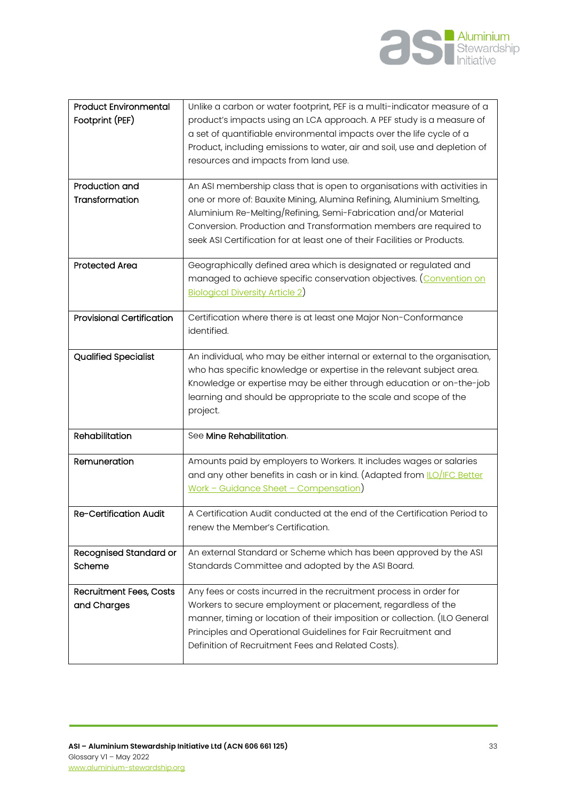

| <b>Product Environmental</b>     | Unlike a carbon or water footprint, PEF is a multi-indicator measure of a      |
|----------------------------------|--------------------------------------------------------------------------------|
| Footprint (PEF)                  | product's impacts using an LCA approach. A PEF study is a measure of           |
|                                  | a set of quantifiable environmental impacts over the life cycle of a           |
|                                  | Product, including emissions to water, air and soil, use and depletion of      |
|                                  |                                                                                |
|                                  | resources and impacts from land use.                                           |
|                                  |                                                                                |
| Production and                   | An ASI membership class that is open to organisations with activities in       |
| Transformation                   | one or more of: Bauxite Mining, Alumina Refining, Aluminium Smelting,          |
|                                  | Aluminium Re-Melting/Refining, Semi-Fabrication and/or Material                |
|                                  | Conversion. Production and Transformation members are required to              |
|                                  | seek ASI Certification for at least one of their Facilities or Products.       |
|                                  |                                                                                |
| <b>Protected Area</b>            | Geographically defined area which is designated or regulated and               |
|                                  | managed to achieve specific conservation objectives. (Convention on            |
|                                  |                                                                                |
|                                  | <b>Biological Diversity Article 2)</b>                                         |
| <b>Provisional Certification</b> |                                                                                |
|                                  | Certification where there is at least one Major Non-Conformance                |
|                                  | identified.                                                                    |
|                                  |                                                                                |
| <b>Qualified Specialist</b>      | An individual, who may be either internal or external to the organisation,     |
|                                  | who has specific knowledge or expertise in the relevant subject area.          |
|                                  | Knowledge or expertise may be either through education or on-the-job           |
|                                  |                                                                                |
|                                  |                                                                                |
|                                  | learning and should be appropriate to the scale and scope of the               |
|                                  | project.                                                                       |
| Rehabilitation                   | See Mine Rehabilitation.                                                       |
|                                  |                                                                                |
| Remuneration                     | Amounts paid by employers to Workers. It includes wages or salaries            |
|                                  |                                                                                |
|                                  | and any other benefits in cash or in kind. (Adapted from <i>LO</i> /IFC Better |
|                                  | Work - Guidance Sheet - Compensation)                                          |
|                                  |                                                                                |
| Re-Certification Audit           | A Certification Audit conducted at the end of the Certification Period to      |
|                                  | renew the Member's Certification.                                              |
|                                  |                                                                                |
| <b>Recognised Standard or</b>    | An external Standard or Scheme which has been approved by the ASI              |
| Scheme                           | Standards Committee and adopted by the ASI Board.                              |
|                                  |                                                                                |
| Recruitment Fees, Costs          | Any fees or costs incurred in the recruitment process in order for             |
| and Charges                      | Workers to secure employment or placement, regardless of the                   |
|                                  | manner, timing or location of their imposition or collection. (ILO General     |
|                                  | Principles and Operational Guidelines for Fair Recruitment and                 |
|                                  | Definition of Recruitment Fees and Related Costs).                             |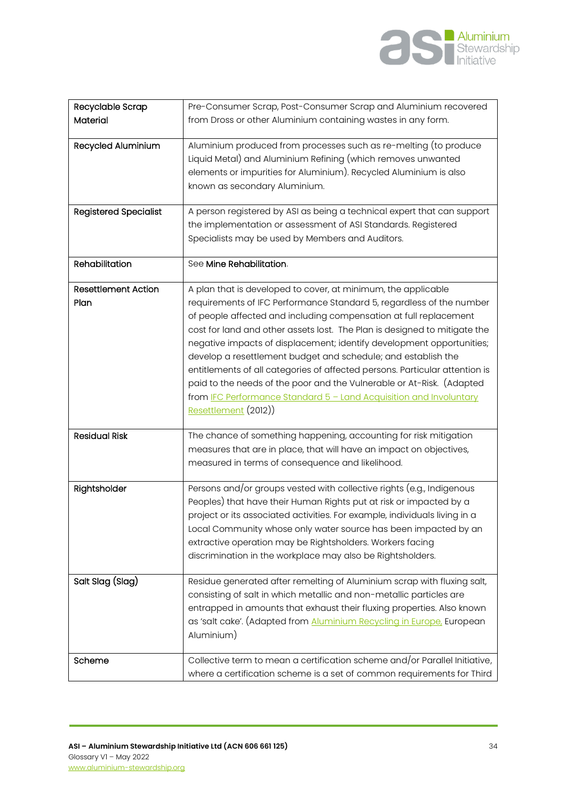

| Recyclable Scrap<br>Material       | Pre-Consumer Scrap, Post-Consumer Scrap and Aluminium recovered<br>from Dross or other Aluminium containing wastes in any form.                                                                                                                                                                                                                                                                                                                                                                                                                                                                                                                                                         |
|------------------------------------|-----------------------------------------------------------------------------------------------------------------------------------------------------------------------------------------------------------------------------------------------------------------------------------------------------------------------------------------------------------------------------------------------------------------------------------------------------------------------------------------------------------------------------------------------------------------------------------------------------------------------------------------------------------------------------------------|
| Recycled Aluminium                 | Aluminium produced from processes such as re-melting (to produce<br>Liquid Metal) and Aluminium Refining (which removes unwanted<br>elements or impurities for Aluminium). Recycled Aluminium is also<br>known as secondary Aluminium.                                                                                                                                                                                                                                                                                                                                                                                                                                                  |
| <b>Registered Specialist</b>       | A person registered by ASI as being a technical expert that can support<br>the implementation or assessment of ASI Standards. Registered<br>Specialists may be used by Members and Auditors.                                                                                                                                                                                                                                                                                                                                                                                                                                                                                            |
| Rehabilitation                     | See Mine Rehabilitation.                                                                                                                                                                                                                                                                                                                                                                                                                                                                                                                                                                                                                                                                |
| <b>Resettlement Action</b><br>Plan | A plan that is developed to cover, at minimum, the applicable<br>requirements of IFC Performance Standard 5, regardless of the number<br>of people affected and including compensation at full replacement<br>cost for land and other assets lost. The Plan is designed to mitigate the<br>negative impacts of displacement; identify development opportunities;<br>develop a resettlement budget and schedule; and establish the<br>entitlements of all categories of affected persons. Particular attention is<br>paid to the needs of the poor and the Vulnerable or At-Risk. (Adapted<br>from IFC Performance Standard 5 - Land Acquisition and Involuntary<br>Resettlement (2012)) |
| <b>Residual Risk</b>               | The chance of something happening, accounting for risk mitigation<br>measures that are in place, that will have an impact on objectives,<br>measured in terms of consequence and likelihood.                                                                                                                                                                                                                                                                                                                                                                                                                                                                                            |
| Rightsholder                       | Persons and/or groups vested with collective rights (e.g., Indigenous<br>Peoples) that have their Human Rights put at risk or impacted by a<br>project or its associated activities. For example, individuals living in a<br>Local Community whose only water source has been impacted by an<br>extractive operation may be Rightsholders. Workers facing<br>discrimination in the workplace may also be Rightsholders.                                                                                                                                                                                                                                                                 |
| Salt Slag (Slag)                   | Residue generated after remelting of Aluminium scrap with fluxing salt,<br>consisting of salt in which metallic and non-metallic particles are<br>entrapped in amounts that exhaust their fluxing properties. Also known<br>as 'salt cake'. (Adapted from Aluminium Recycling in Europe, European<br>Aluminium)                                                                                                                                                                                                                                                                                                                                                                         |
| Scheme                             | Collective term to mean a certification scheme and/or Parallel Initiative,<br>where a certification scheme is a set of common requirements for Third                                                                                                                                                                                                                                                                                                                                                                                                                                                                                                                                    |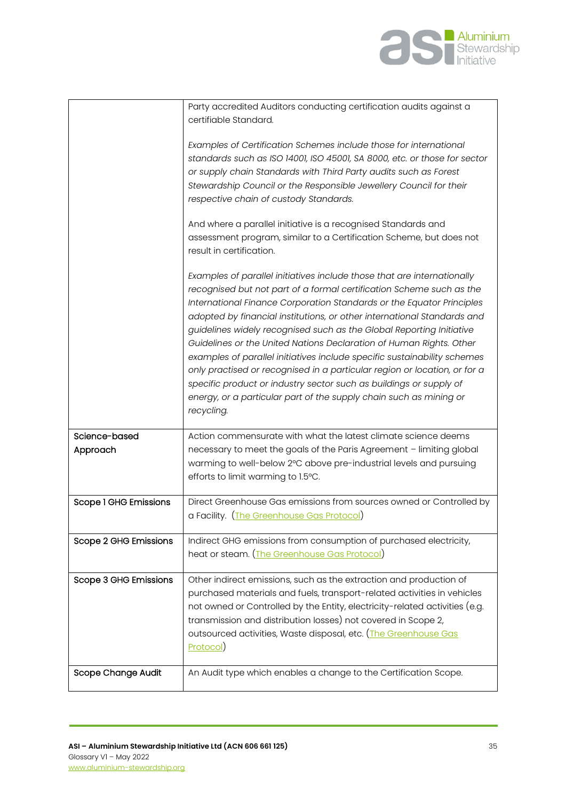

|                           | Party accredited Auditors conducting certification audits against a<br>certifiable Standard.                                                                                                                                                                                                                                                                                                                                                                                                                                                                                                                                                                                                                                                                          |
|---------------------------|-----------------------------------------------------------------------------------------------------------------------------------------------------------------------------------------------------------------------------------------------------------------------------------------------------------------------------------------------------------------------------------------------------------------------------------------------------------------------------------------------------------------------------------------------------------------------------------------------------------------------------------------------------------------------------------------------------------------------------------------------------------------------|
|                           | Examples of Certification Schemes include those for international<br>standards such as ISO 14001, ISO 45001, SA 8000, etc. or those for sector<br>or supply chain Standards with Third Party audits such as Forest<br>Stewardship Council or the Responsible Jewellery Council for their<br>respective chain of custody Standards.                                                                                                                                                                                                                                                                                                                                                                                                                                    |
|                           | And where a parallel initiative is a recognised Standards and<br>assessment program, similar to a Certification Scheme, but does not<br>result in certification.                                                                                                                                                                                                                                                                                                                                                                                                                                                                                                                                                                                                      |
|                           | Examples of parallel initiatives include those that are internationally<br>recognised but not part of a formal certification Scheme such as the<br>International Finance Corporation Standards or the Equator Principles<br>adopted by financial institutions, or other international Standards and<br>guidelines widely recognised such as the Global Reporting Initiative<br>Guidelines or the United Nations Declaration of Human Rights. Other<br>examples of parallel initiatives include specific sustainability schemes<br>only practised or recognised in a particular region or location, or for a<br>specific product or industry sector such as buildings or supply of<br>energy, or a particular part of the supply chain such as mining or<br>recycling. |
| Science-based<br>Approach | Action commensurate with what the latest climate science deems<br>necessary to meet the goals of the Paris Agreement - limiting global<br>warming to well-below 2°C above pre-industrial levels and pursuing<br>efforts to limit warming to 1.5°C.                                                                                                                                                                                                                                                                                                                                                                                                                                                                                                                    |
| Scope 1 GHG Emissions     | Direct Greenhouse Gas emissions from sources owned or Controlled by<br>a Facility. (The Greenhouse Gas Protocol)                                                                                                                                                                                                                                                                                                                                                                                                                                                                                                                                                                                                                                                      |
| Scope 2 GHG Emissions     | Indirect GHG emissions from consumption of purchased electricity,<br>heat or steam. (The Greenhouse Gas Protocol)                                                                                                                                                                                                                                                                                                                                                                                                                                                                                                                                                                                                                                                     |
| Scope 3 GHG Emissions     | Other indirect emissions, such as the extraction and production of<br>purchased materials and fuels, transport-related activities in vehicles<br>not owned or Controlled by the Entity, electricity-related activities (e.g.<br>transmission and distribution losses) not covered in Scope 2,<br>outsourced activities, Waste disposal, etc. (The Greenhouse Gas<br>Protocol)                                                                                                                                                                                                                                                                                                                                                                                         |
| Scope Change Audit        | An Audit type which enables a change to the Certification Scope.                                                                                                                                                                                                                                                                                                                                                                                                                                                                                                                                                                                                                                                                                                      |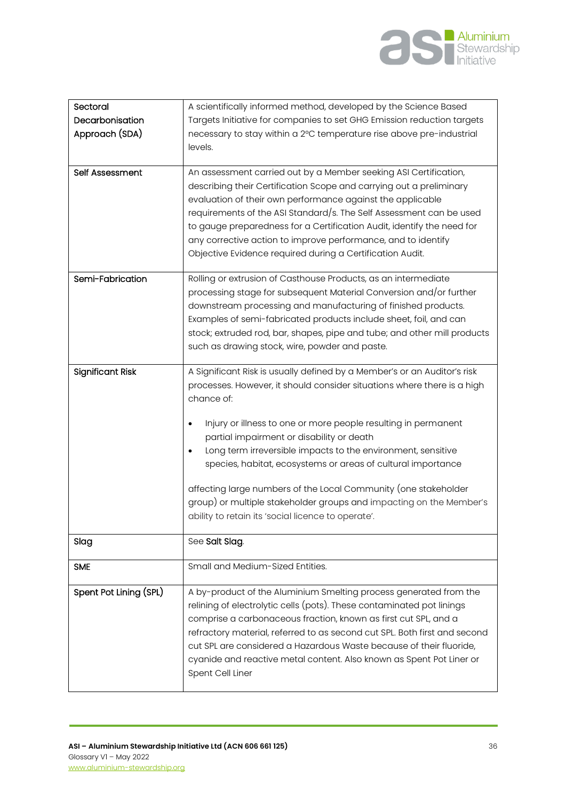

| Sectoral<br>Decarbonisation<br>Approach (SDA) | A scientifically informed method, developed by the Science Based<br>Targets Initiative for companies to set GHG Emission reduction targets<br>necessary to stay within a 2°C temperature rise above pre-industrial<br>levels.                                                                                                                                                                                                                                                                                                                                                                                         |
|-----------------------------------------------|-----------------------------------------------------------------------------------------------------------------------------------------------------------------------------------------------------------------------------------------------------------------------------------------------------------------------------------------------------------------------------------------------------------------------------------------------------------------------------------------------------------------------------------------------------------------------------------------------------------------------|
| Self Assessment                               | An assessment carried out by a Member seeking ASI Certification,<br>describing their Certification Scope and carrying out a preliminary<br>evaluation of their own performance against the applicable<br>requirements of the ASI Standard/s. The Self Assessment can be used<br>to gauge preparedness for a Certification Audit, identify the need for<br>any corrective action to improve performance, and to identify<br>Objective Evidence required during a Certification Audit.                                                                                                                                  |
| Semi-Fabrication                              | Rolling or extrusion of Casthouse Products, as an intermediate<br>processing stage for subsequent Material Conversion and/or further<br>downstream processing and manufacturing of finished products.<br>Examples of semi-fabricated products include sheet, foil, and can<br>stock; extruded rod, bar, shapes, pipe and tube; and other mill products<br>such as drawing stock, wire, powder and paste.                                                                                                                                                                                                              |
| <b>Significant Risk</b>                       | A Significant Risk is usually defined by a Member's or an Auditor's risk<br>processes. However, it should consider situations where there is a high<br>chance of:<br>Injury or illness to one or more people resulting in permanent<br>٠<br>partial impairment or disability or death<br>Long term irreversible impacts to the environment, sensitive<br>species, habitat, ecosystems or areas of cultural importance<br>affecting large numbers of the Local Community (one stakeholder<br>group) or multiple stakeholder groups and impacting on the Member's<br>ability to retain its 'social licence to operate'. |
| Slag                                          | See Salt Slag.                                                                                                                                                                                                                                                                                                                                                                                                                                                                                                                                                                                                        |
| <b>SME</b>                                    | Small and Medium-Sized Entities.                                                                                                                                                                                                                                                                                                                                                                                                                                                                                                                                                                                      |
| Spent Pot Lining (SPL)                        | A by-product of the Aluminium Smelting process generated from the<br>relining of electrolytic cells (pots). These contaminated pot linings<br>comprise a carbonaceous fraction, known as first cut SPL, and a<br>refractory material, referred to as second cut SPL. Both first and second<br>cut SPL are considered a Hazardous Waste because of their fluoride,<br>cyanide and reactive metal content. Also known as Spent Pot Liner or<br>Spent Cell Liner                                                                                                                                                         |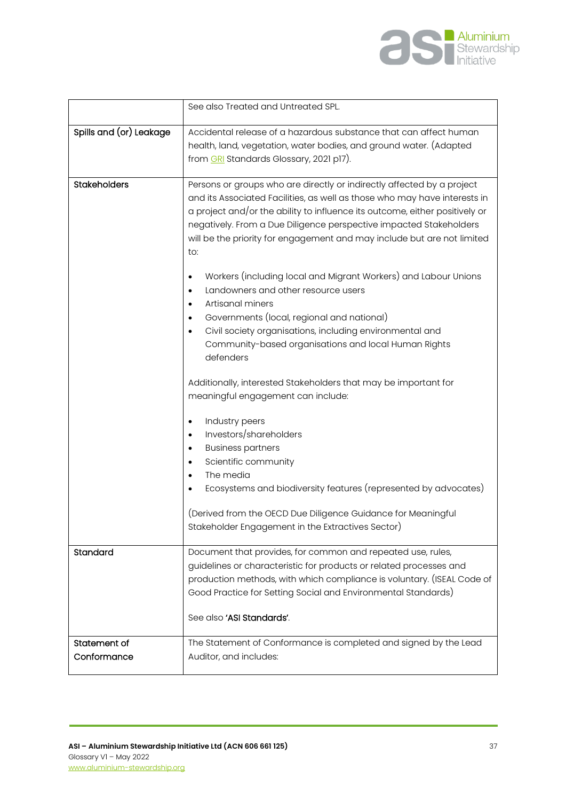

|                             | See also Treated and Untreated SPL.                                                                                                                                                                                                                                                                                                                                                        |
|-----------------------------|--------------------------------------------------------------------------------------------------------------------------------------------------------------------------------------------------------------------------------------------------------------------------------------------------------------------------------------------------------------------------------------------|
| Spills and (or) Leakage     | Accidental release of a hazardous substance that can affect human<br>health, land, vegetation, water bodies, and ground water. (Adapted<br>from GRI Standards Glossary, 2021 p17).                                                                                                                                                                                                         |
| <b>Stakeholders</b>         | Persons or groups who are directly or indirectly affected by a project<br>and its Associated Facilities, as well as those who may have interests in<br>a project and/or the ability to influence its outcome, either positively or<br>negatively. From a Due Diligence perspective impacted Stakeholders<br>will be the priority for engagement and may include but are not limited<br>to: |
|                             | Workers (including local and Migrant Workers) and Labour Unions<br>$\bullet$<br>Landowners and other resource users<br>$\bullet$<br>Artisanal miners<br>$\bullet$<br>Governments (local, regional and national)<br>Civil society organisations, including environmental and<br>Community-based organisations and local Human Rights<br>defenders                                           |
|                             | Additionally, interested Stakeholders that may be important for<br>meaningful engagement can include:                                                                                                                                                                                                                                                                                      |
|                             | Industry peers<br>$\bullet$<br>Investors/shareholders<br>$\bullet$<br><b>Business partners</b><br>$\bullet$<br>Scientific community<br>$\bullet$<br>The media<br>$\bullet$<br>Ecosystems and biodiversity features (represented by advocates)<br>(Derived from the OECD Due Diligence Guidance for Meaningful<br>Stakeholder Engagement in the Extractives Sector)                         |
| Standard                    | Document that provides, for common and repeated use, rules,                                                                                                                                                                                                                                                                                                                                |
|                             | guidelines or characteristic for products or related processes and<br>production methods, with which compliance is voluntary. (ISEAL Code of<br>Good Practice for Setting Social and Environmental Standards)<br>See also 'ASI Standards'.                                                                                                                                                 |
| Statement of<br>Conformance | The Statement of Conformance is completed and signed by the Lead<br>Auditor, and includes:                                                                                                                                                                                                                                                                                                 |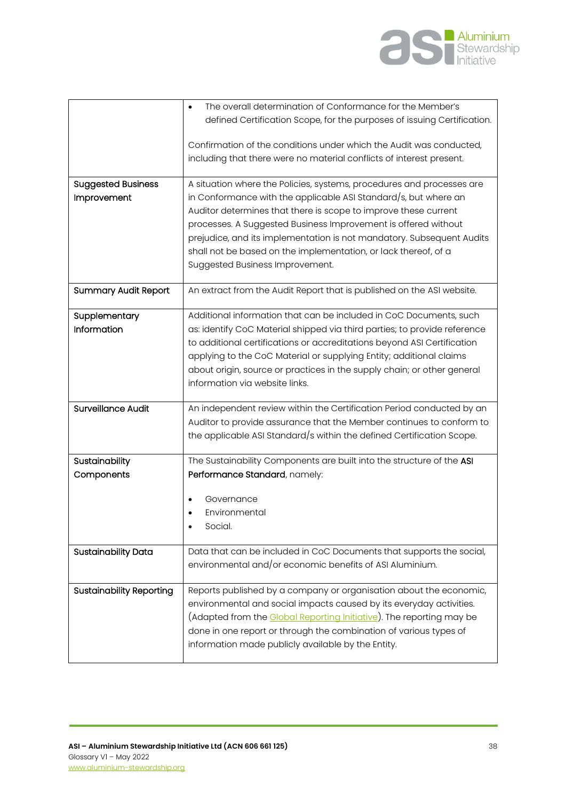

|                                 | The overall determination of Conformance for the Member's                                                                                       |
|---------------------------------|-------------------------------------------------------------------------------------------------------------------------------------------------|
|                                 | defined Certification Scope, for the purposes of issuing Certification.                                                                         |
|                                 | Confirmation of the conditions under which the Audit was conducted,                                                                             |
|                                 | including that there were no material conflicts of interest present.                                                                            |
|                                 |                                                                                                                                                 |
| <b>Suggested Business</b>       | A situation where the Policies, systems, procedures and processes are                                                                           |
| Improvement                     | in Conformance with the applicable ASI Standard/s, but where an                                                                                 |
|                                 | Auditor determines that there is scope to improve these current                                                                                 |
|                                 | processes. A Suggested Business Improvement is offered without                                                                                  |
|                                 | prejudice, and its implementation is not mandatory. Subsequent Audits                                                                           |
|                                 | shall not be based on the implementation, or lack thereof, of a                                                                                 |
|                                 | Suggested Business Improvement.                                                                                                                 |
| <b>Summary Audit Report</b>     | An extract from the Audit Report that is published on the ASI website.                                                                          |
|                                 |                                                                                                                                                 |
| Supplementary<br>Information    | Additional information that can be included in CoC Documents, such<br>as: identify CoC Material shipped via third parties; to provide reference |
|                                 | to additional certifications or accreditations beyond ASI Certification                                                                         |
|                                 | applying to the CoC Material or supplying Entity; additional claims                                                                             |
|                                 | about origin, source or practices in the supply chain; or other general                                                                         |
|                                 | information via website links.                                                                                                                  |
|                                 |                                                                                                                                                 |
| <b>Surveillance Audit</b>       | An independent review within the Certification Period conducted by an                                                                           |
|                                 | Auditor to provide assurance that the Member continues to conform to                                                                            |
|                                 | the applicable ASI Standard/s within the defined Certification Scope.                                                                           |
| Sustainability                  | The Sustainability Components are built into the structure of the ASI                                                                           |
| Components                      | Performance Standard, namely:                                                                                                                   |
|                                 |                                                                                                                                                 |
|                                 | Governance<br>Environmental                                                                                                                     |
|                                 | Social.                                                                                                                                         |
|                                 |                                                                                                                                                 |
| Sustainability Data             | Data that can be included in CoC Documents that supports the social,                                                                            |
|                                 | environmental and/or economic benefits of ASI Aluminium.                                                                                        |
| <b>Sustainability Reporting</b> | Reports published by a company or organisation about the economic,                                                                              |
|                                 | environmental and social impacts caused by its everyday activities.                                                                             |
|                                 | (Adapted from the Global Reporting Initiative). The reporting may be                                                                            |
|                                 | done in one report or through the combination of various types of                                                                               |
|                                 | information made publicly available by the Entity.                                                                                              |
|                                 |                                                                                                                                                 |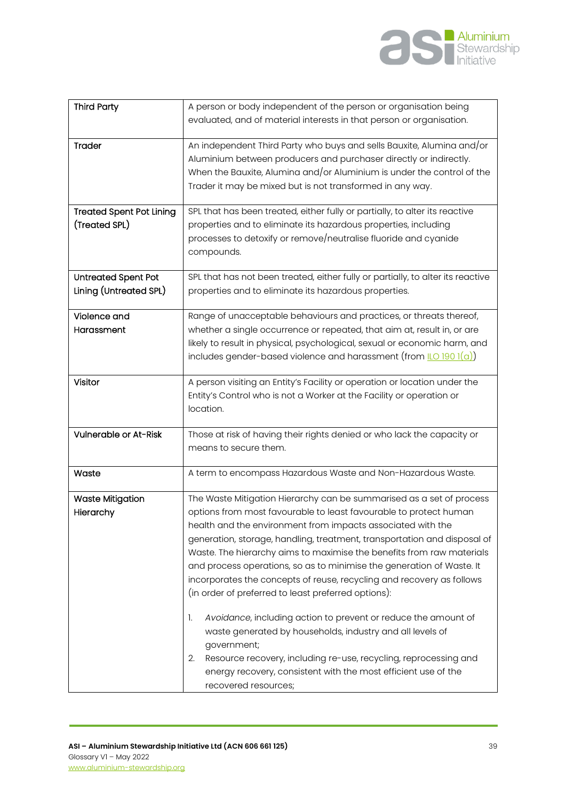

| <b>Third Party</b>                               | A person or body independent of the person or organisation being<br>evaluated, and of material interests in that person or organisation.                                                                                                                                                                                                                                                                                                                                                                                                                                                                                                                                                                                                                                                             |
|--------------------------------------------------|------------------------------------------------------------------------------------------------------------------------------------------------------------------------------------------------------------------------------------------------------------------------------------------------------------------------------------------------------------------------------------------------------------------------------------------------------------------------------------------------------------------------------------------------------------------------------------------------------------------------------------------------------------------------------------------------------------------------------------------------------------------------------------------------------|
| Trader                                           | An independent Third Party who buys and sells Bauxite, Alumina and/or<br>Aluminium between producers and purchaser directly or indirectly.<br>When the Bauxite, Alumina and/or Aluminium is under the control of the<br>Trader it may be mixed but is not transformed in any way.                                                                                                                                                                                                                                                                                                                                                                                                                                                                                                                    |
| <b>Treated Spent Pot Lining</b><br>(Treated SPL) | SPL that has been treated, either fully or partially, to alter its reactive<br>properties and to eliminate its hazardous properties, including<br>processes to detoxify or remove/neutralise fluoride and cyanide<br>compounds.                                                                                                                                                                                                                                                                                                                                                                                                                                                                                                                                                                      |
| Untreated Spent Pot<br>Lining (Untreated SPL)    | SPL that has not been treated, either fully or partially, to alter its reactive<br>properties and to eliminate its hazardous properties.                                                                                                                                                                                                                                                                                                                                                                                                                                                                                                                                                                                                                                                             |
| Violence and<br>Harassment                       | Range of unacceptable behaviours and practices, or threats thereof,<br>whether a single occurrence or repeated, that aim at, result in, or are<br>likely to result in physical, psychological, sexual or economic harm, and<br>includes gender-based violence and harassment (from $\underline{\mathsf{ILO}}$ 190 1(a))                                                                                                                                                                                                                                                                                                                                                                                                                                                                              |
| Visitor                                          | A person visiting an Entity's Facility or operation or location under the<br>Entity's Control who is not a Worker at the Facility or operation or<br>location.                                                                                                                                                                                                                                                                                                                                                                                                                                                                                                                                                                                                                                       |
| Vulnerable or At-Risk                            | Those at risk of having their rights denied or who lack the capacity or<br>means to secure them.                                                                                                                                                                                                                                                                                                                                                                                                                                                                                                                                                                                                                                                                                                     |
| Waste                                            | A term to encompass Hazardous Waste and Non-Hazardous Waste.                                                                                                                                                                                                                                                                                                                                                                                                                                                                                                                                                                                                                                                                                                                                         |
| <b>Waste Mitigation</b><br>Hierarchy             | The Waste Mitigation Hierarchy can be summarised as a set of process<br>options from most favourable to least favourable to protect human<br>health and the environment from impacts associated with the<br>generation, storage, handling, treatment, transportation and disposal of<br>Waste. The hierarchy aims to maximise the benefits from raw materials<br>and process operations, so as to minimise the generation of Waste. It<br>incorporates the concepts of reuse, recycling and recovery as follows<br>(in order of preferred to least preferred options):<br>Avoidance, including action to prevent or reduce the amount of<br>1.<br>waste generated by households, industry and all levels of<br>government;<br>Resource recovery, including re-use, recycling, reprocessing and<br>2. |
|                                                  | energy recovery, consistent with the most efficient use of the<br>recovered resources;                                                                                                                                                                                                                                                                                                                                                                                                                                                                                                                                                                                                                                                                                                               |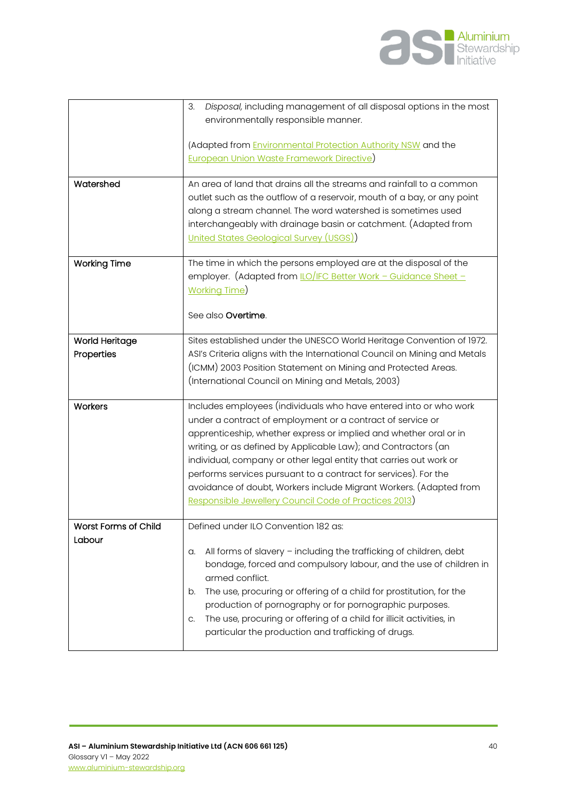

|                       | Disposal, including management of all disposal options in the most<br>3.   |
|-----------------------|----------------------------------------------------------------------------|
|                       | environmentally responsible manner.                                        |
|                       |                                                                            |
|                       | (Adapted from <i>Environmental Protection Authority NSW</i> and the        |
|                       | <b>European Union Waste Framework Directive)</b>                           |
|                       |                                                                            |
| Watershed             | An area of land that drains all the streams and rainfall to a common       |
|                       | outlet such as the outflow of a reservoir, mouth of a bay, or any point    |
|                       | along a stream channel. The word watershed is sometimes used               |
|                       |                                                                            |
|                       | interchangeably with drainage basin or catchment. (Adapted from            |
|                       | United States Geological Survey (USGS))                                    |
| <b>Working Time</b>   | The time in which the persons employed are at the disposal of the          |
|                       | employer. (Adapted from <i>LO/IFC Better Work - Guidance Sheet -</i>       |
|                       | <b>Working Time</b>                                                        |
|                       |                                                                            |
|                       | See also Overtime.                                                         |
|                       |                                                                            |
| <b>World Heritage</b> | Sites established under the UNESCO World Heritage Convention of 1972.      |
| Properties            | ASI's Criteria aligns with the International Council on Mining and Metals  |
|                       | (ICMM) 2003 Position Statement on Mining and Protected Areas.              |
|                       | (International Council on Mining and Metals, 2003)                         |
|                       |                                                                            |
| Workers               | Includes employees (individuals who have entered into or who work          |
|                       | under a contract of employment or a contract of service or                 |
|                       | apprenticeship, whether express or implied and whether oral or in          |
|                       | writing, or as defined by Applicable Law); and Contractors (an             |
|                       | individual, company or other legal entity that carries out work or         |
|                       | performs services pursuant to a contract for services). For the            |
|                       | avoidance of doubt, Workers include Migrant Workers. (Adapted from         |
|                       | Responsible Jewellery Council Code of Practices 2013)                      |
|                       |                                                                            |
| Worst Forms of Child  | Defined under ILO Convention 182 as:                                       |
| Labour                |                                                                            |
|                       | All forms of slavery - including the trafficking of children, debt<br>a.   |
|                       | bondage, forced and compulsory labour, and the use of children in          |
|                       | armed conflict.                                                            |
|                       | The use, procuring or offering of a child for prostitution, for the<br>b.  |
|                       | production of pornography or for pornographic purposes.                    |
|                       | The use, procuring or offering of a child for illicit activities, in<br>C. |
|                       | particular the production and trafficking of drugs.                        |
|                       |                                                                            |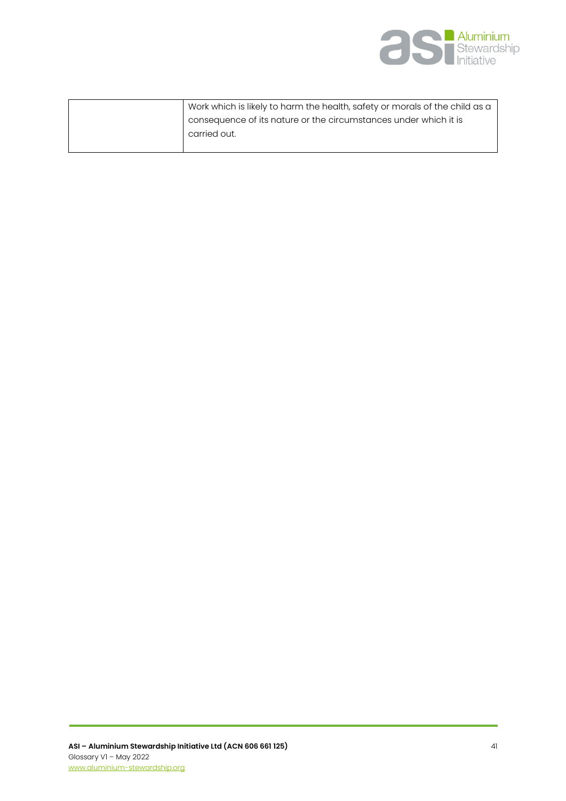

| Work which is likely to harm the health, safety or morals of the child as a |
|-----------------------------------------------------------------------------|
| consequence of its nature or the circumstances under which it is            |
| carried out.                                                                |
|                                                                             |